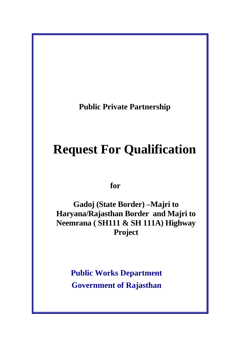**Public Private Partnership** 

# **Request For Qualification**

 **for** 

**Gadoj (State Border) –Majri to Haryana/Rajasthan Border and Majri to Neemrana ( SH111 & SH 111A) Highway Project**

> **Public Works Department Government of Rajasthan**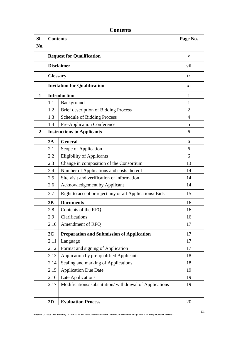| Sl.            | <b>Contents</b>                     |                                                         | Page No.       |
|----------------|-------------------------------------|---------------------------------------------------------|----------------|
| No.            |                                     |                                                         |                |
|                | <b>Request for Qualification</b>    |                                                         | $\mathbf{V}$   |
|                | <b>Disclaimer</b>                   |                                                         | vii            |
|                | <b>Glossary</b>                     |                                                         | ix             |
|                | <b>Invitation for Qualification</b> |                                                         | xi             |
| 1              | <b>Introduction</b>                 |                                                         | 1              |
|                | 1.1                                 | Background                                              | 1              |
|                | 1.2                                 | <b>Brief description of Bidding Process</b>             | $\overline{2}$ |
|                | 1.3                                 | <b>Schedule of Bidding Process</b>                      | 4              |
|                | 1.4                                 | Pre-Application Conference                              | 5              |
| $\overline{2}$ |                                     | <b>Instructions to Applicants</b>                       | 6              |
|                | 2A                                  | <b>General</b>                                          | 6              |
|                | 2.1                                 | Scope of Application                                    | 6              |
|                | 2.2                                 | <b>Eligibility of Applicants</b>                        | 6              |
|                | 2.3                                 | Change in composition of the Consortium                 | 13             |
|                | 2.4                                 | Number of Applications and costs thereof                | 14             |
|                | 2.5                                 | Site visit and verification of information              | 14             |
|                | 2.6                                 | <b>Acknowledgement by Applicant</b>                     | 14             |
|                | 2.7                                 | Right to accept or reject any or all Applications/ Bids | 15             |
|                | 2B                                  | <b>Documents</b>                                        | 16             |
|                | 2.8                                 | Contents of the RFQ                                     | 16             |
|                | 2.9                                 | Clarifications                                          | 16             |
|                | 2.10                                | Amendment of RFQ                                        | 17             |
|                | 2C                                  | <b>Preparation and Submission of Application</b>        | 17             |
|                | 2.11                                | Language                                                | 17             |
|                | 2.12                                | Format and signing of Application                       | 17             |
|                | 2.13                                | Application by pre-qualified Applicants                 | 18             |
|                | 2.14                                | Sealing and marking of Applications                     | 18             |
|                | 2.15                                | <b>Application Due Date</b>                             | 19             |
|                | 2.16                                | Late Applications                                       | 19             |
|                | 2.17                                | Modifications/ substitution/ withdrawal of Applications | 19             |
|                | 2D                                  | <b>Evaluation Process</b>                               | 20             |

**Contents**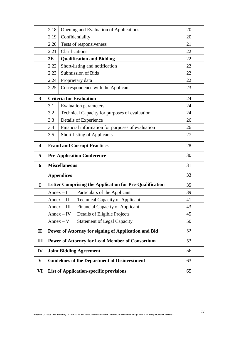|              | 2.18                                     | Opening and Evaluation of Applications                  | 20 |
|--------------|------------------------------------------|---------------------------------------------------------|----|
|              | 2.19                                     | Confidentiality                                         | 20 |
|              | 2.20                                     | Tests of responsiveness                                 | 21 |
|              | 2.21                                     | Clarifications                                          | 22 |
|              | 2E                                       | <b>Qualification and Bidding</b>                        | 22 |
|              | 2.22                                     | Short-listing and notification                          | 22 |
|              | 2.23                                     | <b>Submission of Bids</b>                               | 22 |
|              | 2.24                                     | Proprietary data                                        | 22 |
|              | 2.25                                     | Correspondence with the Applicant                       | 23 |
| 3            |                                          | <b>Criteria for Evaluation</b>                          | 24 |
|              | 3.1                                      | <b>Evaluation parameters</b>                            | 24 |
|              | 3.2                                      | Technical Capacity for purposes of evaluation           | 24 |
|              | 3.3                                      | Details of Experience                                   | 26 |
|              | 3.4                                      | Financial information for purposes of evaluation        | 26 |
|              | 3.5                                      | <b>Short-listing of Applicants</b>                      | 27 |
| 4            | <b>Fraud and Corrupt Practices</b><br>28 |                                                         |    |
|              |                                          |                                                         |    |
| 5            |                                          | <b>Pre-Application Conference</b>                       | 30 |
| 6            |                                          | <b>Miscellaneous</b>                                    | 31 |
|              |                                          | <b>Appendices</b>                                       | 33 |
| $\mathbf I$  |                                          | Letter Comprising the Application for Pre-Qualification | 35 |
|              | $Annex-I$                                | Particulars of the Applicant                            | 39 |
|              |                                          | <b>Technical Capacity of Applicant</b><br>$Annex-II$    | 41 |
|              |                                          | <b>Financial Capacity of Applicant</b><br>$Annex - III$ | 43 |
|              |                                          | Details of Eligible Projects<br>$Annex - IV$            | 45 |
|              |                                          | <b>Statement of Legal Capacity</b><br>$Annex - V$       | 50 |
| $\mathbf{I}$ |                                          | Power of Attorney for signing of Application and Bid    | 52 |
| Ш            |                                          | <b>Power of Attorney for Lead Member of Consortium</b>  | 53 |
| IV           |                                          | <b>Joint Bidding Agreement</b>                          | 56 |
| V            |                                          | <b>Guidelines of the Department of Disinvestment</b>    | 63 |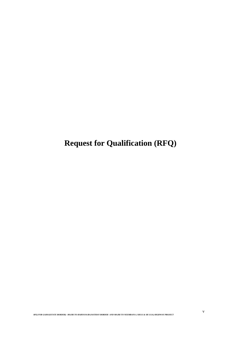**Request for Qualification (RFQ)**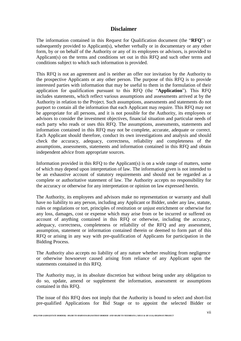## **Disclaimer**

The information contained in this Request for Qualification document (the "**RFQ**") or subsequently provided to Applicant(s), whether verbally or in documentary or any other form, by or on behalf of the Authority or any of its employees or advisors, is provided to Applicant(s) on the terms and conditions set out in this RFQ and such other terms and conditions subject to which such information is provided.

This RFQ is not an agreement and is neither an offer nor invitation by the Authority to the prospective Applicants or any other person. The purpose of this RFQ is to provide interested parties with information that may be useful to them in the formulation of their application for qualification pursuant to this RFQ (the "**Application**"). This RFQ includes statements, which reflect various assumptions and assessments arrived at by the Authority in relation to the Project. Such assumptions, assessments and statements do not purport to contain all the information that each Applicant may require. This RFQ may not be appropriate for all persons, and it is not possible for the Authority, its employees or advisors to consider the investment objectives, financial situation and particular needs of each party who reads or uses this RFQ. The assumptions, assessments, statements and information contained in this RFQ may not be complete, accurate, adequate or correct. Each Applicant should therefore, conduct its own investigations and analysis and should check the accuracy, adequacy, correctness, reliability and completeness of the assumptions, assessments, statements and information contained in this RFQ and obtain independent advice from appropriate sources.

Information provided in this RFQ to the Applicant(s) is on a wide range of matters, some of which may depend upon interpretation of law. The information given is not intended to be an exhaustive account of statutory requirements and should not be regarded as a complete or authoritative statement of law. The Authority accepts no responsibility for the accuracy or otherwise for any interpretation or opinion on law expressed herein.

The Authority, its employees and advisors make no representation or warranty and shall have no liability to any person, including any Applicant or Bidder, under any law, statute, rules or regulations or tort, principles of restitution or unjust enrichment or otherwise for any loss, damages, cost or expense which may arise from or be incurred or suffered on account of anything contained in this RFQ or otherwise, including the accuracy, adequacy, correctness, completeness or reliability of the RFQ and any assessment, assumption, statement or information contained therein or deemed to form part of this RFQ or arising in any way with pre-qualification of Applicants for participation in the Bidding Process.

The Authority also accepts no liability of any nature whether resulting from negligence or otherwise howsoever caused arising from reliance of any Applicant upon the statements contained in this RFQ.

The Authority may, in its absolute discretion but without being under any obligation to do so, update, amend or supplement the information, assessment or assumptions contained in this RFQ.

The issue of this RFQ does not imply that the Authority is bound to select and short-list pre-qualified Applications for Bid Stage or to appoint the selected Bidder or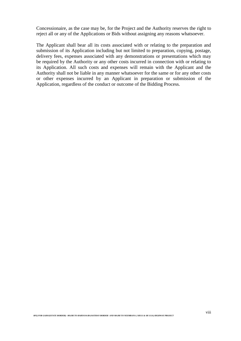Concessionaire, as the case may be, for the Project and the Authority reserves the right to reject all or any of the Applications or Bids without assigning any reasons whatsoever.

The Applicant shall bear all its costs associated with or relating to the preparation and submission of its Application including but not limited to preparation, copying, postage, delivery fees, expenses associated with any demonstrations or presentations which may be required by the Authority or any other costs incurred in connection with or relating to its Application. All such costs and expenses will remain with the Applicant and the Authority shall not be liable in any manner whatsoever for the same or for any other costs or other expenses incurred by an Applicant in preparation or submission of the Application, regardless of the conduct or outcome of the Bidding Process.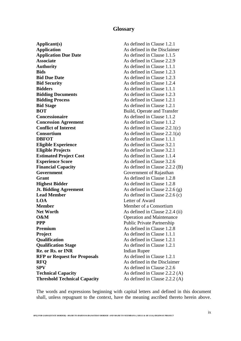## **Glossary**

**Applicant(s)** As defined in Clause 1.2.1 **Application** As defined in the Disclaimer **Application Due Date** As defined in Clause 1.1.5 **Associate** As defined in Clause 2.2.9 **Authority** As defined in Clause 1.1.1 **Bids Bids As defined in Clause 1.2.3 Bid Due Date** As defined in Clause 1.2.3 **Bid Security** As defined in Clause 1.2.4 **Bidders As defined in Clause 1.1.1 Bidding Documents As defined in Clause 1.2.3 Bidding Process** As defined in Clause 1.2.1 **Bid Stage** As defined in Clause 1.2.1 **BOT** Build, Operate and Transfer **Concessionaire As defined in Clause 1.1.2 Concession Agreement** As defined in Clause 1.1.2 **Conflict of Interest** As defined in Clause 2.2.1(c) **Consortium** As defined in Clause 2.2.1(a) **DBFOT** As defined in Clause 1.1.1 **Eligible Experience** As defined in Clause 3.2.1 **Eligible Projects** As defined in Clause 3.2.1 **Estimated Project Cost** As defined in Clause 1.1.4 **Experience Score** As defined in Clause 3.2.6 **Financial Capacity** As defined in Clause 2.2.2 (B) **Government Government Government** of Rajasthan **Grant** As defined in Clause 1.2.8 **Highest Bidder** As defined in Clause 1.2.8 **Jt. Bidding Agreement** As defined in Clause 2.2.6 (g) **Lead Member** As defined in Clause 2.2.6 (c) **LOA** Letter of Award **Member** Member of a Consortium **Net Worth** As defined in Clause 2.2.4 (ii) **O&M** Operation and Maintenance **PPP** Public Private Partnership **Premium** As defined in Clause 1.2.8 **Project** As defined in Clause 1.1.1 **Qualification** As defined in Clause 1.2.1 **Qualification Stage** As defined in Clause 1.2.1 **Re. or Rs. or INR** Indian Rupee **RFP or Request for Proposals** As defined in Clause 1.2.1 **RFO** As defined in the Disclaimer **SPV** As defined in Clause 2.2.6 **Technical Capacity** As defined in Clause 2.2.2 (A) **Threshold Technical Capacity** As defined in Clause 2.2.2 (A)

The words and expressions beginning with capital letters and defined in this document shall, unless repugnant to the context, have the meaning ascribed thereto herein above.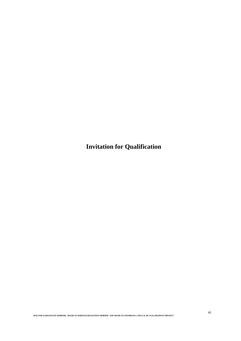**Invitation for Qualification**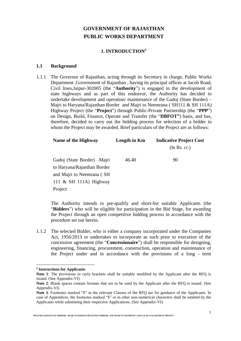## **GOVERNMENT OF RAJASTHAN PUBLIC WORKS DEPARTMENT**

## **1. INTRODUCTION**\$

#### **1.1 Background**

1.1.1 The Governor of Rajasthan, acting through its Secretary in charge, Public Works Department ,Government of Rajasthan , having its principal offices at Jacob Road, Civil lines,Jaipur-302005 (the "**Authority**") is engaged in the development of state highways and as part of this endeavor, the Authority has decided to undertake development and operation/ maintenance of the Gadoj (State Border) – Majri to Haryana/Rajasthan Border and Majri to Neemrana ( SH111 & SH 111A) Highway Project (the "**Project**") through Public-Private Partnership (the "**PPP**") on Design, Build, Finance, Operate and Transfer (the "**DBFOT"**) basis, and has, therefore, decided to carry out the bidding process for selection of a bidder to whom the Project may be awarded. Brief particulars of the Project are as follows:

| Name of the Highway          | Length in Km | <b>Indicative Project Cost</b> |  |
|------------------------------|--------------|--------------------------------|--|
|                              |              | (In Rs. cr.)                   |  |
| Gadoj (State Border) - Majri | 46.40        | 90                             |  |
| to Haryana/Rajasthan Border  |              |                                |  |
| and Majri to Neemrana (SH    |              |                                |  |
| 111 & SH 111A) Highway       |              |                                |  |
| Project                      |              |                                |  |

The Authority intends to pre-qualify and short-list suitable Applicants (the "**Bidders**") who will be eligible for participation in the Bid Stage, for awarding the Project through an open competitive bidding process in accordance with the procedure set out herein.

1.1.2 The selected Bidder, who is either a company incorporated under the Companies Act, 1956/2013 or undertakes to incorporate as such prior to execution of the concession agreement (the "**Concessionaire**") shall be responsible for designing, engineering, financing, procurement, construction, operation and maintenance of the Project under and in accordance with the provisions of a long - term

 $\overline{a}$ 

*RFQ FOR GADOJ(STATE BORDER) –MAJRI TO HARYANA/RAJASTHAN BORDER AND MAJRI TO NEEMRANA ( SH111 & SH 111A) HIGHWAY PROJECT*

<sup>\$</sup> **Instructions for Applicants**

**Note 1**: The provisions in curly brackets shall be suitably modified by the Applicant after the RFQ is issued. (See Appendix-VI)

**Note 2**: Blank spaces contain formats that are to be used by the Applicant after the RFQ is issued. (See Appendix-VI)

Note 3: Footnotes marked "\$" in the relevant Clauses of the RFQ are for guidance of the Applicants. In case of Appendices, the footnotes marked "\$" or in other non-numerical characters shall be omitted by the Applicants while submitting their respective Applications. (See Appendix-VI)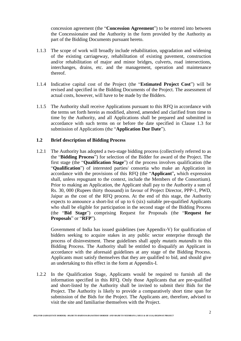concession agreement (the "**Concession Agreement**") to be entered into between the Concessionaire and the Authority in the form provided by the Authority as part of the Bidding Documents pursuant hereto.

- 1.1.3 The scope of work will broadly include rehabilitation, upgradation and widening of the existing carriageway, rehabilitation of existing pavement, construction and/or rehabilitation of major and minor bridges, culverts, road intersections, interchanges, drains, etc. and the management, operation and maintenance thereof.
- 1.1.4 Indicative capital cost of the Project (the "**Estimated Project Cost**") will be revised and specified in the Bidding Documents of the Project. The assessment of actual costs, however, will have to be made by the Bidders.
- 1.1.5 The Authority shall receive Applications pursuant to this RFQ in accordance with the terms set forth herein as modified, altered, amended and clarified from time to time by the Authority, and all Applications shall be prepared and submitted in accordance with such terms on or before the date specified in Clause 1.3 for submission of Applications (the "**Application Due Date**").

#### **1.2 Brief description of Bidding Process**

1.2.1 The Authority has adopted a two-stage bidding process (collectively referred to as the "**Bidding Process**") for selection of the Bidder for award of the Project. The first stage (the "**Qualification Stage**") of the process involves qualification (the "**Qualification**") of interested parties/ consortia who make an Application in accordance with the provisions of this RFQ (the "**Applicant**"**,** which expression shall, unless repugnant to the context, include the Members of the Consortium). Prior to making an Application, the Applicant shall pay to the Authority a sum of Rs. 30, 000 (Rupees thirty thousand) in favour of Project Director, PPP-1, PWD, Jaipur as the cost of the RFQ process. At the end of this stage, the Authority expects to announce a short-list of up to 6 (six) suitable pre-qualified Applicants who shall be eligible for participation in the second stage of the Bidding Process (the "**Bid Stage**") comprising Request for Proposals (the "**Request for Proposals**" or "**RFP**").

Government of India has issued guidelines (see Appendix-V) for qualification of bidders seeking to acquire stakes in any public sector enterprise through the process of disinvestment. These guidelines shall apply *mutatis mutandis* to this Bidding Process. The Authority shall be entitled to disqualify an Applicant in accordance with the aforesaid guidelines at any stage of the Bidding Process. Applicants must satisfy themselves that they are qualified to bid, and should give an undertaking to this effect in the form at Appendix-I.

1.2.2 In the Qualification Stage, Applicants would be required to furnish all the information specified in this RFQ. Only those Applicants that are pre-qualified and short-listed by the Authority shall be invited to submit their Bids for the Project. The Authority is likely to provide a comparatively short time span for submission of the Bids for the Project. The Applicants are, therefore, advised to visit the site and familiarise themselves with the Project.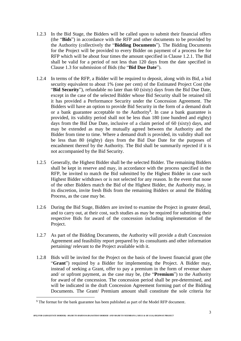- 1.2.3 In the Bid Stage, the Bidders will be called upon to submit their financial offers (the "**Bids**") in accordance with the RFP and other documents to be provided by the Authority (collectively the "**Bidding Documents**"). The Bidding Documents for the Project will be provided to every Bidder on payment of a process fee for RFP which will be about four times the amount specified in Clause 1.2.1. The Bid shall be valid for a period of not less than 120 days from the date specified in Clause 1.3 for submission of Bids (the "**Bid Due Date**").
- 1.2.4 In terms of the RFP, a Bidder will be required to deposit, along with its Bid, a bid security equivalent to about 1% (one per cent) of the Estimated Project Cost (the "**Bid Security**"), refundable no later than 60 (sixty) days from the Bid Due Date, except in the case of the selected Bidder whose Bid Security shall be retained till it has provided a Performance Security under the Concession Agreement. The Bidders will have an option to provide Bid Security in the form of a demand draft or a bank guarantee acceptable to the Authority<sup>\$</sup>. In case a bank guarantee is provided, its validity period shall not be less than 180 (one hundred and eighty) days from the Bid Due Date, inclusive of a claim period of 60 (sixty) days, and may be extended as may be mutually agreed between the Authority and the Bidder from time to time. Where a demand draft is provided, its validity shall not be less than 80 (eighty) days from the Bid Due Date for the purposes of encashment thereof by the Authority. The Bid shall be summarily rejected if it is not accompanied by the Bid Security.
- 1.2.5 Generally, the Highest Bidder shall be the selected Bidder. The remaining Bidders shall be kept in reserve and may, in accordance with the process specified in the RFP, be invited to match the Bid submitted by the Highest Bidder in case such Highest Bidder withdraws or is not selected for any reason. In the event that none of the other Bidders match the Bid of the Highest Bidder, the Authority may, in its discretion, invite fresh Bids from the remaining Bidders or annul the Bidding Process, as the case may be.
- 1.2.6 During the Bid Stage, Bidders are invited to examine the Project in greater detail, and to carry out, at their cost, such studies as may be required for submitting their respective Bids for award of the concession including implementation of the Project.
- 1.2.7 As part of the Bidding Documents, the Authority will provide a draft Concession Agreement and feasibility report prepared by its consultants and other information pertaining/ relevant to the Project available with it.
- 1.2.8 Bids will be invited for the Project on the basis of the lowest financial grant (the "**Grant**") required by a Bidder for implementing the Project. A Bidder may, instead of seeking a Grant, offer to pay a premium in the form of revenue share and/ or upfront payment, as the case may be, (the "**Premium**") to the Authority for award of the concession. The concession period shall be pre-determined, and will be indicated in the draft Concession Agreement forming part of the Bidding Documents. The Grant/ Premium amount shall constitute the sole criteria for

 $\overline{a}$ 

<sup>\$</sup> The format for the bank guarantee has been published as part of the Model RFP document.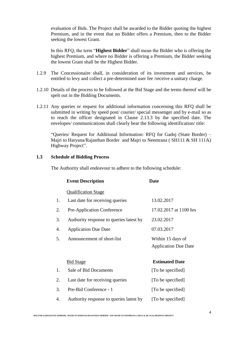evaluation of Bids. The Project shall be awarded to the Bidder quoting the highest Premium, and in the event that no Bidder offers a Premium, then to the Bidder seeking the lowest Grant.

In this RFQ, the term "**Highest Bidder**" shall mean the Bidder who is offering the highest Premium, and where no Bidder is offering a Premium, the Bidder seeking the lowest Grant shall be the Highest Bidder.

- 1.2.9 The Concessionaire shall, in consideration of its investment and services, be entitled to levy and collect a pre-determined user fee /receive a unitary charge.
- 1.2.10 Details of the process to be followed at the Bid Stage and the terms thereof will be spelt out in the Bidding Documents.
- 1.2.11 Any queries or request for additional information concerning this RFQ shall be submitted in writing by speed post/ courier/ special messenger and by e-mail so as to reach the officer designated in Clause 2.13.3 by the specified date. The envelopes/ communications shall clearly bear the following identification/ title:

"Queries/ Request for Additional Information: RFQ for Gadoj (State Border) – Majri to Haryana/Rajasthan Border and Majri to Neemrana ( SH111 & SH 111A) Highway Project".

#### **1.3 Schedule of Bidding Process**

The Authority shall endeavour to adhere to the following schedule:

|    | <b>Event Description</b>                | <b>Date</b>                                      |
|----|-----------------------------------------|--------------------------------------------------|
|    | <b>Qualification Stage</b>              |                                                  |
| 1. | Last date for receiving queries         | 13.02.2017                                       |
| 2. | Pre-Application Conference              | 17.02.2017 at 1100 hrs                           |
| 3. | Authority response to queries latest by | 23.02.2017                                       |
| 4. | <b>Application Due Date</b>             | 07.03.2017                                       |
| 5. | Announcement of short-list              | Within 15 days of<br><b>Application Due Date</b> |
|    | <b>Bid Stage</b>                        | <b>Estimated Date</b>                            |
| 1. | Sale of Bid Documents                   | [To be specified]                                |
| 2. | Last date for receiving queries         | [To be specified]                                |
| 3. | Pre-Bid Conference - 1                  | [To be specified]                                |
| 4. | Authority response to queries latest by | [To be specified]                                |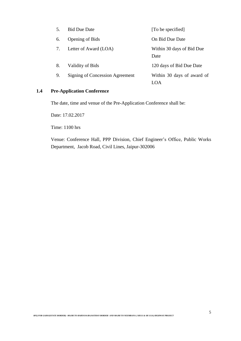| 5. | <b>Bid Due Date</b>             | [To be specified]                 |
|----|---------------------------------|-----------------------------------|
| 6. | <b>Opening of Bids</b>          | On Bid Due Date                   |
|    | Letter of Award (LOA)           | Within 30 days of Bid Due<br>Date |
| 8. | Validity of Bids                | 120 days of Bid Due Date          |
| 9. | Signing of Concession Agreement | Within 30 days of award of        |

## **1.4 Pre-Application Conference**

The date, time and venue of the Pre-Application Conference shall be:

Date: 17.02.2017

Time: 1100 hrs

Venue: Conference Hall, PPP Division, Chief Engineer's Office, Public Works Department, Jacob Road, Civil Lines, Jaipur-302006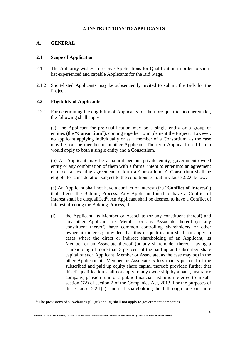## **2. INSTRUCTIONS TO APPLICANTS**

## **A. GENERAL**

 $\overline{a}$ 

## **2.1 Scope of Application**

- 2.1.1 The Authority wishes to receive Applications for Qualification in order to shortlist experienced and capable Applicants for the Bid Stage.
- 2.1.2 Short-listed Applicants may be subsequently invited to submit the Bids for the Project.

## **2.2 Eligibility of Applicants**

2.2.1 For determining the eligibility of Applicants for their pre-qualification hereunder, the following shall apply:

(a) The Applicant for pre-qualification may be a single entity or a group of entities (the "**Consortium**"), coming together to implement the Project. However, no applicant applying individually or as a member of a Consortium, as the case may be, can be member of another Applicant. The term Applicant used herein would apply to both a single entity and a Consortium.

(b) An Applicant may be a natural person, private entity, government-owned entity or any combination of them with a formal intent to enter into an agreement or under an existing agreement to form a Consortium. A Consortium shall be eligible for consideration subject to the conditions set out in Clause 2.2.6 below.

(c) An Applicant shall not have a conflict of interest (the "**Conflict of Interest**") that affects the Bidding Process. Any Applicant found to have a Conflict of Interest shall be disqualified<sup>§</sup>. An Applicant shall be deemed to have a Conflict of Interest affecting the Bidding Process, if:

(i) the Applicant, its Member or Associate (or any constituent thereof) and any other Applicant, its Member or any Associate thereof (or any constituent thereof) have common controlling shareholders or other ownership interest; provided that this disqualification shall not apply in cases where the direct or indirect shareholding of an Applicant, its Member or an Associate thereof (or any shareholder thereof having a shareholding of more than 5 per cent of the paid up and subscribed share capital of such Applicant, Member or Associate, as the case may be) in the other Applicant, its Member or Associate is less than 5 per cent of the subscribed and paid up equity share capital thereof; provided further that this disqualification shall not apply to any ownership by a bank, insurance company, pension fund or a public financial institution referred to in subsection (72) of section 2 of the Companies Act, 2013. For the purposes of this Clause 2.2.1(c), indirect shareholding held through one or more

 $$$  The provisions of sub-clauses (i), (iii) and (v) shall not apply to government companies.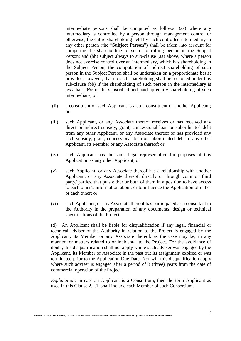intermediate persons shall be computed as follows: (aa) where any intermediary is controlled by a person through management control or otherwise, the entire shareholding held by such controlled intermediary in any other person (the "**Subject Person**") shall be taken into account for computing the shareholding of such controlling person in the Subject Person; and (bb) subject always to sub-clause (aa) above, where a person does not exercise control over an intermediary, which has shareholding in the Subject Person, the computation of indirect shareholding of such person in the Subject Person shall be undertaken on a proportionate basis; provided, however, that no such shareholding shall be reckoned under this sub-clause (bb) if the shareholding of such person in the intermediary is less than 26% of the subscribed and paid up equity shareholding of such intermediary; or

- (ii) a constituent of such Applicant is also a constituent of another Applicant; or
- (iii) such Applicant, or any Associate thereof receives or has received any direct or indirect subsidy, grant, concessional loan or subordinated debt from any other Applicant, or any Associate thereof or has provided any such subsidy, grant, concessional loan or subordinated debt to any other Applicant, its Member or any Associate thereof; or
- (iv) such Applicant has the same legal representative for purposes of this Application as any other Applicant; or
- (v) such Applicant, or any Associate thereof has a relationship with another Applicant, or any Associate thereof, directly or through common third party/ parties, that puts either or both of them in a position to have access to each other's information about, or to influence the Application of either or each other; or
- (vi) such Applicant, or any Associate thereof has participated as a consultant to the Authority in the preparation of any documents, design or technical specifications of the Project.

(d) An Applicant shall be liable for disqualification if any legal, financial or technical adviser of the Authority in relation to the Project is engaged by the Applicant, its Member or any Associate thereof, as the case may be, in any manner for matters related to or incidental to the Project. For the avoidance of doubt, this disqualification shall not apply where such adviser was engaged by the Applicant, its Member or Associate in the past but its assignment expired or was terminated prior to the Application Due Date. Nor will this disqualification apply where such adviser is engaged after a period of 3 (three) years from the date of commercial operation of the Project.

*Explanation:* In case an Applicant is a Consortium, then the term Applicant as used in this Clause 2.2.1, shall include each Member of such Consortium.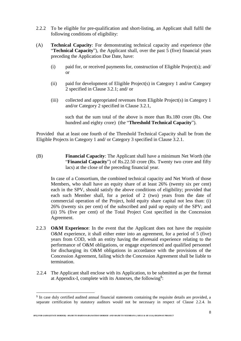- 2.2.2 To be eligible for pre-qualification and short-listing, an Applicant shall fulfil the following conditions of eligibility:
- (A) **Technical Capacity**: For demonstrating technical capacity and experience (the "**Technical Capacity**"), the Applicant shall, over the past 5 (five) financial years preceding the Application Due Date, have:
	- $(i)$  paid for, or received payments for, construction of Eligible Project(s); and/ or
	- (ii) paid for development of Eligible Project(s) in Category 1 and/or Category 2 specified in Clause 3.2.1; and/ or
	- (iii) collected and appropriated revenues from Eligible Project(s) in Category 1 and/or Category 2 specified in Clause 3.2.1,

such that the sum total of the above is more than Rs.180 crore (Rs. One hundred and eighty crore) (the "**Threshold Technical Capacity**").

Provided that at least one fourth of the Threshold Technical Capacity shall be from the Eligible Projects in Category 1 and/ or Category 3 specified in Clause 3.2.1.

(B) **Financial Capacity**: The Applicant shall have a minimum Net Worth (the "**Financial Capacity**") of Rs.22.50 crore (Rs. Twenty two crore and fifty lacs) at the close of the preceding financial year.

In case of a Consortium, the combined technical capacity and Net Worth of those Members, who shall have an equity share of at least 26% (twenty six per cent) each in the SPV, should satisfy the above conditions of eligibility; provided that each such Member shall, for a period of 2 (two) years from the date of commercial operation of the Project, hold equity share capital not less than: (i) 26% (twenty six per cent) of the subscribed and paid up equity of the SPV; and (ii) 5% (five per cent) of the Total Project Cost specified in the Concession Agreement.

- 2.2.3 **O&M Experience**: In the event that the Applicant does not have the requisite O&M experience, it shall either enter into an agreement, for a period of 5 (five) years from COD, with an entity having the aforesaid experience relating to the performance of O&M obligations, or engage experienced and qualified personnel for discharging its O&M obligations in accordance with the provisions of the Concession Agreement, failing which the Concession Agreement shall be liable to termination.
- 2.2.4 The Applicant shall enclose with its Application, to be submitted as per the format at Appendix-I, complete with its Annexes, the following<sup>\$</sup>:

*RFQ FOR GADOJ(STATE BORDER) –MAJRI TO HARYANA/RAJASTHAN BORDER AND MAJRI TO NEEMRANA ( SH111 & SH 111A) HIGHWAY PROJECT*

 $\overline{a}$ 

<sup>&</sup>lt;sup>§</sup> In case duly certified audited annual financial statements containing the requisite details are provided, a separate certification by statutory auditors would not be necessary in respect of Clause 2.2.4. In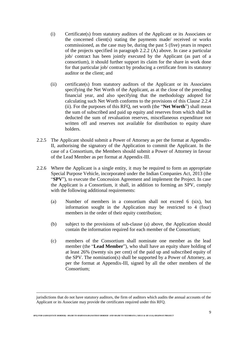- (i) Certificate(s) from statutory auditors of the Applicant or its Associates or the concerned client(s) stating the payments made/ received or works commissioned, as the case may be, during the past 5 (five) years in respect of the projects specified in paragraph 2.2.2 (A) above. In case a particular job/ contract has been jointly executed by the Applicant (as part of a consortium), it should further support its claim for the share in work done for that particular job/ contract by producing a certificate from its statutory auditor or the client; and
- (ii) certificate(s) from statutory auditors of the Applicant or its Associates specifying the Net Worth of the Applicant, as at the close of the preceding financial year, and also specifying that the methodology adopted for calculating such Net Worth conforms to the provisions of this Clause 2.2.4 (ii). For the purposes of this RFQ, net worth (the "**Net Worth**") shall mean the sum of subscribed and paid up equity and reserves from which shall be deducted the sum of revaluation reserves, miscellaneous expenditure not written off and reserves not available for distribution to equity share holders.
- 2.2.5 The Applicant should submit a Power of Attorney as per the format at Appendix-II, authorising the signatory of the Application to commit the Applicant. In the case of a Consortium, the Members should submit a Power of Attorney in favour of the Lead Member as per format at Appendix-III.
- 2.2.6 Where the Applicant is a single entity, it may be required to form an appropriate Special Purpose Vehicle, incorporated under the Indian Companies Act, 2013 (the "**SPV**"), to execute the Concession Agreement and implement the Project. In case the Applicant is a Consortium, it shall, in addition to forming an SPV, comply with the following additional requirements:
	- (a) Number of members in a consortium shall not exceed 6 (six), but information sought in the Application may be restricted to 4 (four) members in the order of their equity contribution;
	- (b) subject to the provisions of sub-clause (a) above, the Application should contain the information required for each member of the Consortium;
	- (c) members of the Consortium shall nominate one member as the lead member (the "**Lead Member**"), who shall have an equity share holding of at least 26% (twenty six per cent) of the paid up and subscribed equity of the SPV. The nomination(s) shall be supported by a Power of Attorney, as per the format at Appendix-III, signed by all the other members of the Consortium;

1

jurisdictions that do not have statutory auditors, the firm of auditors which audits the annual accounts of the Applicant or its Associate may provide the certificates required under this RFQ.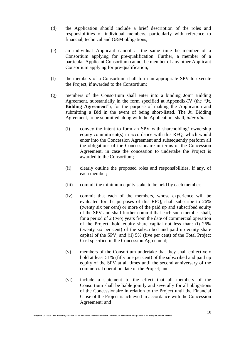- (d) the Application should include a brief description of the roles and responsibilities of individual members, particularly with reference to financial, technical and O&M obligations;
- (e) an individual Applicant cannot at the same time be member of a Consortium applying for pre-qualification. Further, a member of a particular Applicant Consortium cannot be member of any other Applicant Consortium applying for pre-qualification;
- (f) the members of a Consortium shall form an appropriate SPV to execute the Project, if awarded to the Consortium;
- (g) members of the Consortium shall enter into a binding Joint Bidding Agreement, substantially in the form specified at Appendix-IV (the "**Jt. Bidding Agreement**"), for the purpose of making the Application and submitting a Bid in the event of being short-listed. The Jt. Bidding Agreement, to be submitted along with the Application, shall, *inter alia*:
	- (i) convey the intent to form an SPV with shareholding/ ownership equity commitment(s) in accordance with this RFQ, which would enter into the Concession Agreement and subsequently perform all the obligations of the Concessionaire in terms of the Concession Agreement, in case the concession to undertake the Project is awarded to the Consortium;
	- (ii) clearly outline the proposed roles and responsibilities, if any, of each member;
	- (iii) commit the minimum equity stake to be held by each member;
	- (iv) commit that each of the members, whose experience will be evaluated for the purposes of this RFQ, shall subscribe to 26% (twenty six per cent) or more of the paid up and subscribed equity of the SPV and shall further commit that each such member shall, for a period of 2 (two) years from the date of commercial operation of the Project, hold equity share capital not less than: (i) 26% (twenty six per cent) of the subscribed and paid up equity share capital of the SPV; and (ii) 5% (five per cent) of the Total Project Cost specified in the Concession Agreement;
	- (v) members of the Consortium undertake that they shall collectively hold at least 51% (fifty one per cent) of the subscribed and paid up equity of the SPV at all times until the second anniversary of the commercial operation date of the Project; and
	- (vi) include a statement to the effect that all members of the Consortium shall be liable jointly and severally for all obligations of the Concessionaire in relation to the Project until the Financial Close of the Project is achieved in accordance with the Concession Agreement; and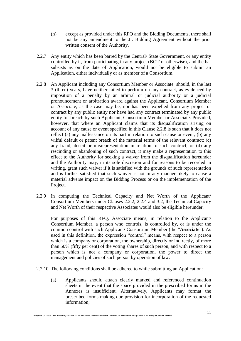- (h) except as provided under this RFQ and the Bidding Documents, there shall not be any amendment to the Jt. Bidding Agreement without the prior written consent of the Authority.
- 2.2.7 Any entity which has been barred by the Central/ State Government, or any entity controlled by it, from participating in any project (BOT or otherwise), and the bar subsists as on the date of Application, would not be eligible to submit an Application, either individually or as member of a Consortium.
- 2.2.8 An Applicant including any Consortium Member or Associate should, in the last 3 (three) years, have neither failed to perform on any contract, as evidenced by imposition of a penalty by an arbitral or judicial authority or a judicial pronouncement or arbitration award against the Applicant, Consortium Member or Associate, as the case may be, nor has been expelled from any project or contract by any public entity nor have had any contract terminated by any public entity for breach by such Applicant, Consortium Member or Associate. Provided, however, that where an Applicant claims that its disqualification arising on account of any cause or event specified in this Clause 2.2.8 is such that it does not reflect (a) any malfeasance on its part in relation to such cause or event; (b) any wilful default or patent breach of the material terms of the relevant contract; (c) any fraud, deceit or misrepresentation in relation to such contract; or (d) any rescinding or abandoning of such contract, it may make a representation to this effect to the Authority for seeking a waiver from the disqualification hereunder and the Authority may, in its sole discretion and for reasons to be recorded in writing, grant such waiver if it is satisfied with the grounds of such representation and is further satisfied that such waiver is not in any manner likely to cause a material adverse impact on the Bidding Process or on the implementation of the Project.
- 2.2.9 In computing the Technical Capacity and Net Worth of the Applicant/ Consortium Members under Clauses 2.2.2, 2.2.4 and 3.2, the Technical Capacity and Net Worth of their respective Associates would also be eligible hereunder.

For purposes of this RFQ, Associate means, in relation to the Applicant/ Consortium Member, a person who controls, is controlled by, or is under the common control with such Applicant/ Consortium Member (the "**Associate**"). As used in this definition, the expression "control" means, with respect to a person which is a company or corporation, the ownership, directly or indirectly, of more than 50% (fifty per cent) of the voting shares of such person, and with respect to a person which is not a company or corporation, the power to direct the management and policies of such person by operation of law.

- 2.2.10 The following conditions shall be adhered to while submitting an Application:
	- (a) Applicants should attach clearly marked and referenced continuation sheets in the event that the space provided in the prescribed forms in the Annexes is insufficient. Alternatively, Applicants may format the prescribed forms making due provision for incorporation of the requested information;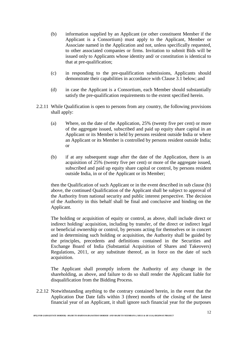- (b) information supplied by an Applicant (or other constituent Member if the Applicant is a Consortium) must apply to the Applicant, Member or Associate named in the Application and not, unless specifically requested, to other associated companies or firms. Invitation to submit Bids will be issued only to Applicants whose identity and/ or constitution is identical to that at pre-qualification;
- (c) in responding to the pre-qualification submissions, Applicants should demonstrate their capabilities in accordance with Clause 3.1 below; and
- (d) in case the Applicant is a Consortium, each Member should substantially satisfy the pre-qualification requirements to the extent specified herein.
- 2.2.11 While Qualification is open to persons from any country, the following provisions shall apply:
	- (a) Where, on the date of the Application, 25% (twenty five per cent) or more of the aggregate issued, subscribed and paid up equity share capital in an Applicant or its Member is held by persons resident outside India or where an Applicant or its Member is controlled by persons resident outside India; or
	- (b) if at any subsequent stage after the date of the Application, there is an acquisition of 25% (twenty five per cent) or more of the aggregate issued, subscribed and paid up equity share capital or control, by persons resident outside India, in or of the Applicant or its Member;

then the Qualification of such Applicant or in the event described in sub clause (b) above, the continued Qualification of the Applicant shall be subject to approval of the Authority from national security and public interest perspective. The decision of the Authority in this behalf shall be final and conclusive and binding on the Applicant.

The holding or acquisition of equity or control, as above, shall include direct or indirect holding/ acquisition, including by transfer, of the direct or indirect legal or beneficial ownership or control, by persons acting for themselves or in concert and in determining such holding or acquisition, the Authority shall be guided by the principles, precedents and definitions contained in the Securities and Exchange Board of India (Substantial Acquisition of Shares and Takeovers) Regulations, 2011, or any substitute thereof, as in force on the date of such acquisition.

The Applicant shall promptly inform the Authority of any change in the shareholding, as above, and failure to do so shall render the Applicant liable for disqualification from the Bidding Process.

2.2.12 Notwithstanding anything to the contrary contained herein, in the event that the Application Due Date falls within 3 (three) months of the closing of the latest financial year of an Applicant, it shall ignore such financial year for the purposes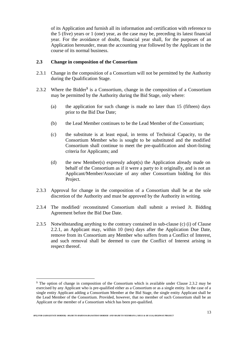of its Application and furnish all its information and certification with reference to the 5 (five) years or 1 (one) year, as the case may be, preceding its latest financial year. For the avoidance of doubt, financial year shall, for the purposes of an Application hereunder, mean the accounting year followed by the Applicant in the course of its normal business.

#### **2.3 Change in composition of the Consortium**

- 2.3.1 Change in the composition of a Consortium will not be permitted by the Authority during the Qualification Stage.
- 2.3.2 Where the Bidder<sup>\$</sup> is a Consortium, change in the composition of a Consortium may be permitted by the Authority during the Bid Stage, only where:
	- (a) the application for such change is made no later than 15 (fifteen) days prior to the Bid Due Date;
	- (b) the Lead Member continues to be the Lead Member of the Consortium;
	- (c) the substitute is at least equal, in terms of Technical Capacity, to the Consortium Member who is sought to be substituted and the modified Consortium shall continue to meet the pre-qualification and short-listing criteria for Applicants; and
	- (d) the new Member(s) expressly adopt(s) the Application already made on behalf of the Consortium as if it were a party to it originally, and is not an Applicant/Member/Associate of any other Consortium bidding for this Project.
- 2.3.3 Approval for change in the composition of a Consortium shall be at the sole discretion of the Authority and must be approved by the Authority in writing.
- 2.3.4 The modified/ reconstituted Consortium shall submit a revised Jt. Bidding Agreement before the Bid Due Date.
- 2.3.5 Notwithstanding anything to the contrary contained in sub-clause (c) (i) of Clause 2.2.1, an Applicant may, within 10 (ten) days after the Application Due Date, remove from its Consortium any Member who suffers from a Conflict of Interest, and such removal shall be deemed to cure the Conflict of Interest arising in respect thereof.

 $\overline{a}$ 

<sup>\$</sup> The option of change in composition of the Consortium which is available under Clause 2.3.2 may be exercised by any Applicant who is pre-qualified either as a Consortium or as a single entity. In the case of a single entity Applicant adding a Consortium Member at the Bid Stage, the single entity Applicant shall be the Lead Member of the Consortium. Provided, however, that no member of such Consortium shall be an Applicant or the member of a Consortium which has been pre-qualified.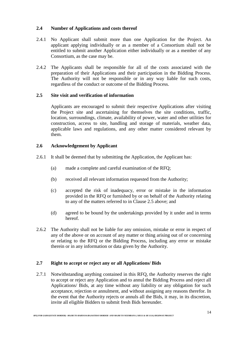## **2.4 Number of Applications and costs thereof**

- 2.4.1 No Applicant shall submit more than one Application for the Project. An applicant applying individually or as a member of a Consortium shall not be entitled to submit another Application either individually or as a member of any Consortium, as the case may be.
- 2.4.2 The Applicants shall be responsible for all of the costs associated with the preparation of their Applications and their participation in the Bidding Process. The Authority will not be responsible or in any way liable for such costs, regardless of the conduct or outcome of the Bidding Process.

## **2.5 Site visit and verification of information**

Applicants are encouraged to submit their respective Applications after visiting the Project site and ascertaining for themselves the site conditions, traffic, location, surroundings, climate, availability of power, water and other utilities for construction, access to site, handling and storage of materials, weather data, applicable laws and regulations, and any other matter considered relevant by them.

## **2.6 Acknowledgement by Applicant**

- 2.6.1 It shall be deemed that by submitting the Application, the Applicant has:
	- (a) made a complete and careful examination of the RFQ;
	- (b) received all relevant information requested from the Authority;
	- (c) accepted the risk of inadequacy, error or mistake in the information provided in the RFQ or furnished by or on behalf of the Authority relating to any of the matters referred to in Clause 2.5 above; and
	- (d) agreed to be bound by the undertakings provided by it under and in terms hereof.
- 2.6.2 The Authority shall not be liable for any omission, mistake or error in respect of any of the above or on account of any matter or thing arising out of or concerning or relating to the RFQ or the Bidding Process, including any error or mistake therein or in any information or data given by the Authority.

#### **2.7 Right to accept or reject any or all Applications/ Bids**

2.7.1 Notwithstanding anything contained in this RFQ, the Authority reserves the right to accept or reject any Application and to annul the Bidding Process and reject all Applications/ Bids, at any time without any liability or any obligation for such acceptance, rejection or annulment, and without assigning any reasons therefor. In the event that the Authority rejects or annuls all the Bids, it may, in its discretion, invite all eligible Bidders to submit fresh Bids hereunder.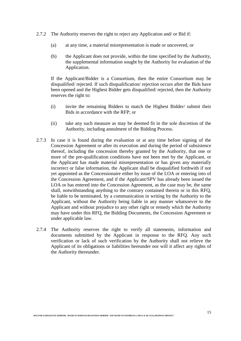- 2.7.2 The Authority reserves the right to reject any Application and/ or Bid if:
	- (a) at any time, a material misrepresentation is made or uncovered, or
	- (b) the Applicant does not provide, within the time specified by the Authority, the supplemental information sought by the Authority for evaluation of the Application.

If the Applicant/Bidder is a Consortium, then the entire Consortium may be disqualified/ rejected. If such disqualification/ rejection occurs after the Bids have been opened and the Highest Bidder gets disqualified/ rejected, then the Authority reserves the right to:

- (i) invite the remaining Bidders to match the Highest Bidder/ submit their Bids in accordance with the RFP; or
- (ii) take any such measure as may be deemed fit in the sole discretion of the Authority, including annulment of the Bidding Process.
- 2.7.3 In case it is found during the evaluation or at any time before signing of the Concession Agreement or after its execution and during the period of subsistence thereof, including the concession thereby granted by the Authority, that one or more of the pre-qualification conditions have not been met by the Applicant, or the Applicant has made material misrepresentation or has given any materially incorrect or false information, the Applicant shall be disqualified forthwith if not yet appointed as the Concessionaire either by issue of the LOA or entering into of the Concession Agreement, and if the Applicant/SPV has already been issued the LOA or has entered into the Concession Agreement, as the case may be, the same shall, notwithstanding anything to the contrary contained therein or in this RFQ, be liable to be terminated, by a communication in writing by the Authority to the Applicant, without the Authority being liable in any manner whatsoever to the Applicant and without prejudice to any other right or remedy which the Authority may have under this RFQ, the Bidding Documents, the Concession Agreement or under applicable law.
- 2.7.4 The Authority reserves the right to verify all statements, information and documents submitted by the Applicant in response to the RFQ. Any such verification or lack of such verification by the Authority shall not relieve the Applicant of its obligations or liabilities hereunder nor will it affect any rights of the Authority thereunder.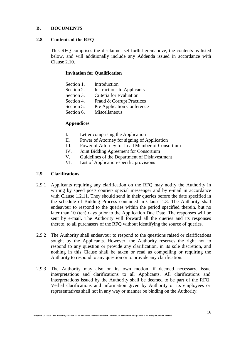## **B. DOCUMENTS**

#### **2.8 Contents of the RFQ**

This RFQ comprises the disclaimer set forth hereinabove, the contents as listed below, and will additionally include any Addenda issued in accordance with Clause 2.10.

#### **Invitation for Qualification**

| Section 1. | Introduction                      |
|------------|-----------------------------------|
| Section 2. | <b>Instructions to Applicants</b> |
| Section 3. | Criteria for Evaluation           |
| Section 4. | Fraud & Corrupt Practices         |
| Section 5. | Pre Application Conference        |
| Section 6. | Miscellaneous                     |
|            |                                   |

## **Appendices**

- I. Letter comprising the Application
- II. Power of Attorney for signing of Application
- III. Power of Attorney for Lead Member of Consortium
- IV. Joint Bidding Agreement for Consortium
- V. Guidelines of the Department of Disinvestment
- VI. List of Application-specific provisions

#### **2.9 Clarifications**

- 2.9.1 Applicants requiring any clarification on the RFQ may notify the Authority in writing by speed post/ courier/ special messenger and by e-mail in accordance with Clause 1.2.11. They should send in their queries before the date specified in the schedule of Bidding Process contained in Clause 1.3. The Authority shall endeavour to respond to the queries within the period specified therein, but no later than 10 (ten) days prior to the Application Due Date. The responses will be sent by e-mail. The Authority will forward all the queries and its responses thereto, to all purchasers of the RFQ without identifying the source of queries.
- 2.9.2 The Authority shall endeavour to respond to the questions raised or clarifications sought by the Applicants. However, the Authority reserves the right not to respond to any question or provide any clarification, in its sole discretion, and nothing in this Clause shall be taken or read as compelling or requiring the Authority to respond to any question or to provide any clarification.
- 2.9.3 The Authority may also on its own motion, if deemed necessary, issue interpretations and clarifications to all Applicants. All clarifications and interpretations issued by the Authority shall be deemed to be part of the RFQ. Verbal clarifications and information given by Authority or its employees or representatives shall not in any way or manner be binding on the Authority.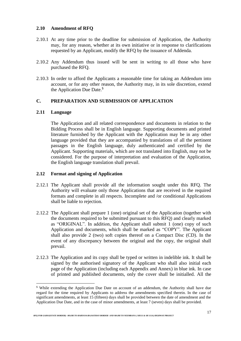## **2.10 Amendment of RFQ**

- 2.10.1 At any time prior to the deadline for submission of Application, the Authority may, for any reason, whether at its own initiative or in response to clarifications requested by an Applicant, modify the RFQ by the issuance of Addenda.
- 2.10.2 Any Addendum thus issued will be sent in writing to all those who have purchased the RFQ.
- 2.10.3 In order to afford the Applicants a reasonable time for taking an Addendum into account, or for any other reason, the Authority may, in its sole discretion, extend the Application Due Date.\$

## **C. PREPARATION AND SUBMISSION OF APPLICATION**

#### **2.11 Language**

 $\overline{a}$ 

The Application and all related correspondence and documents in relation to the Bidding Process shall be in English language. Supporting documents and printed literature furnished by the Applicant with the Application may be in any other language provided that they are accompanied by translations of all the pertinent passages in the English language, duly authenticated and certified by the Applicant. Supporting materials, which are not translated into English, may not be considered. For the purpose of interpretation and evaluation of the Application, the English language translation shall prevail.

#### **2.12 Format and signing of Application**

- 2.12.1 The Applicant shall provide all the information sought under this RFQ. The Authority will evaluate only those Applications that are received in the required formats and complete in all respects. Incomplete and /or conditional Applications shall be liable to rejection.
- 2.12.2 The Applicant shall prepare 1 (one) original set of the Application (together with the documents required to be submitted pursuant to this RFQ) and clearly marked as "ORIGINAL". In addition, the Applicant shall submit 1 (one) copy of such Application and documents, which shall be marked as "COPY". The Applicant shall also provide 2 (two) soft copies thereof on a Compact Disc (CD). In the event of any discrepancy between the original and the copy, the original shall prevail.
- 2.12.3 The Application and its copy shall be typed or written in indelible ink. It shall be signed by the authorised signatory of the Applicant who shall also initial each page of the Application (including each Appendix and Annex) in blue ink. In case of printed and published documents, only the cover shall be initialled. All the

<sup>\$</sup> While extending the Application Due Date on account of an addendum, the Authority shall have due regard for the time required by Applicants to address the amendments specified therein. In the case of significant amendments, at least 15 (fifteen) days shall be provided between the date of amendment and the Application Due Date, and in the case of minor amendments, at least 7 (seven) days shall be provided.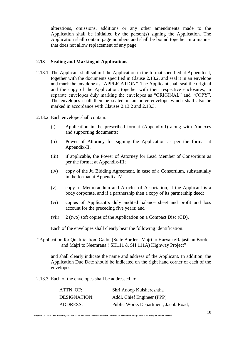alterations, omissions, additions or any other amendments made to the Application shall be initialled by the person(s) signing the Application. The Application shall contain page numbers and shall be bound together in a manner that does not allow replacement of any page.

#### **2.13 Sealing and Marking of Applications**

- 2.13.1 The Applicant shall submit the Application in the format specified at Appendix-I, together with the documents specified in Clause 2.13.2, and seal it in an envelope and mark the envelope as "APPLICATION". The Applicant shall seal the original and the copy of the Application, together with their respective enclosures, in separate envelopes duly marking the envelopes as "ORIGINAL" and "COPY". The envelopes shall then be sealed in an outer envelope which shall also be marked in accordance with Clauses 2.13.2 and 2.13.3.
- 2.13.2 Each envelope shall contain:
	- (i) Application in the prescribed format (Appendix-I) along with Annexes and supporting documents;
	- (ii) Power of Attorney for signing the Application as per the format at Appendix-II;
	- (iii) if applicable, the Power of Attorney for Lead Member of Consortium as per the format at Appendix-III;
	- (iv) copy of the Jt. Bidding Agreement, in case of a Consortium, substantially in the format at Appendix-IV;
	- (v) copy of Memorandum and Articles of Association, if the Applicant is a body corporate, and if a partnership then a copy of its partnership deed;
	- (vi) copies of Applicant's duly audited balance sheet and profit and loss account for the preceding five years; and
	- (vii) 2 (two) soft copies of the Application on a Compact Disc (CD).

Each of the envelopes shall clearly bear the following identification:

"Application for Qualification: Gadoj (State Border –Majri to Haryana/Rajasthan Border and Majri to Neemrana (SH111 & SH 111A) Highway Project"

and shall clearly indicate the name and address of the Applicant. In addition, the Application Due Date should be indicated on the right hand corner of each of the envelopes.

2.13.3 Each of the envelopes shall be addressed to:

| ATTN. OF:       | Shri Anoop Kulshereshtha             |
|-----------------|--------------------------------------|
| DESIGNATION:    | Addl. Chief Engineer (PPP)           |
| <b>ADDRESS:</b> | Public Works Department, Jacob Road, |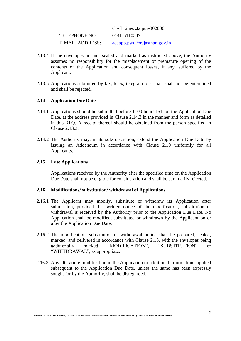|                      | Civil Lines , Jaipur-302006   |
|----------------------|-------------------------------|
| <b>TELEPHONE NO:</b> | 0141-5110547                  |
| E-MAIL ADDRESS:      | $accept$ pwd@rajasthan.gov.in |

- 2.13.4 If the envelopes are not sealed and marked as instructed above, the Authority assumes no responsibility for the misplacement or premature opening of the contents of the Application and consequent losses, if any, suffered by the Applicant.
- 2.13.5 Applications submitted by fax, telex, telegram or e-mail shall not be entertained and shall be rejected.

## **2.14 Application Due Date**

- 2.14.1 Applications should be submitted before 1100 hours IST on the Application Due Date, at the address provided in Clause 2.14.3 in the manner and form as detailed in this RFQ. A receipt thereof should be obtained from the person specified in Clause 2.13.3.
- 2.14.2 The Authority may, in its sole discretion, extend the Application Due Date by issuing an Addendum in accordance with Clause 2.10 uniformly for all Applicants.

#### **2.15 Late Applications**

Applications received by the Authority after the specified time on the Application Due Date shall not be eligible for consideration and shall be summarily rejected.

#### **2.16 Modifications/ substitution/ withdrawal of Applications**

- 2.16.1 The Applicant may modify, substitute or withdraw its Application after submission, provided that written notice of the modification, substitution or withdrawal is received by the Authority prior to the Application Due Date. No Application shall be modified, substituted or withdrawn by the Applicant on or after the Application Due Date.
- 2.16.2 The modification, substitution or withdrawal notice shall be prepared, sealed, marked, and delivered in accordance with Clause 2.13, with the envelopes being additionally marked "MODIFICATION", "SUBSTITUTION" or "WITHDRAWAL", as appropriate.
- 2.16.3 Any alteration/ modification in the Application or additional information supplied subsequent to the Application Due Date, unless the same has been expressly sought for by the Authority, shall be disregarded.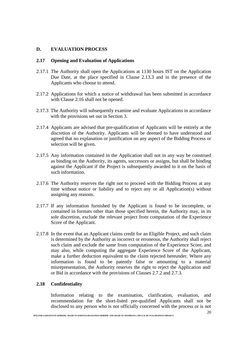## **D. EVALUATION PROCESS**

### **2.17 Opening and Evaluation of Applications**

- 2.17.1 The Authority shall open the Applications at 1130 hours IST on the Application Due Date, at the place specified in Clause 2.13.3 and in the presence of the Applicants who choose to attend.
- 2.17.2 Applications for which a notice of withdrawal has been submitted in accordance with Clause 2.16 shall not be opened.
- 2.17.3 The Authority will subsequently examine and evaluate Applications in accordance with the provisions set out in Section 3.
- 2.17.4 Applicants are advised that pre-qualification of Applicants will be entirely at the discretion of the Authority. Applicants will be deemed to have understood and agreed that no explanation or justification on any aspect of the Bidding Process or selection will be given.
- 2.17.5 Any information contained in the Application shall not in any way be construed as binding on the Authority, its agents, successors or assigns, but shall be binding against the Applicant if the Project is subsequently awarded to it on the basis of such information.
- 2.17.6 The Authority reserves the right not to proceed with the Bidding Process at any time without notice or liability and to reject any or all Application(s) without assigning any reasons.
- 2.17.7 If any information furnished by the Applicant is found to be incomplete, or contained in formats other than those specified herein, the Authority may, in its sole discretion, exclude the relevant project from computation of the Experience Score of the Applicant.
- 2.17.8 In the event that an Applicant claims credit for an Eligible Project, and such claim is determined by the Authority as incorrect or erroneous, the Authority shall reject such claim and exclude the same from computation of the Experience Score, and may also, while computing the aggregate Experience Score of the Applicant, make a further deduction equivalent to the claim rejected hereunder. Where any information is found to be patently false or amounting to a material misrepresentation, the Authority reserves the right to reject the Application and/ or Bid in accordance with the provisions of Clauses 2.7.2 and 2.7.3.

#### **2.18 Confidentiality**

Information relating to the examination, clarification, evaluation, and recommendation for the short-listed pre-qualified Applicants shall not be disclosed to any person who is not officially concerned with the process or is not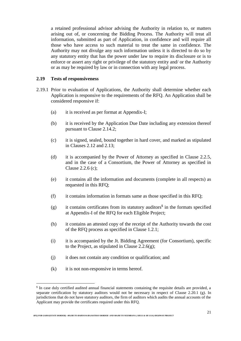a retained professional advisor advising the Authority in relation to, or matters arising out of, or concerning the Bidding Process. The Authority will treat all information, submitted as part of Application, in confidence and will require all those who have access to such material to treat the same in confidence. The Authority may not divulge any such information unless it is directed to do so by any statutory entity that has the power under law to require its disclosure or is to enforce or assert any right or privilege of the statutory entity and/ or the Authority or as may be required by law or in connection with any legal process.

### **2.19 Tests of responsiveness**

- 2.19.1 Prior to evaluation of Applications, the Authority shall determine whether each Application is responsive to the requirements of the RFQ. An Application shall be considered responsive if:
	- (a) it is received as per format at Appendix-I;
	- (b) it is received by the Application Due Date including any extension thereof pursuant to Clause 2.14.2;
	- (c) it is signed, sealed, bound together in hard cover, and marked as stipulated in Clauses 2.12 and 2.13;
	- (d) it is accompanied by the Power of Attorney as specified in Clause 2.2.5, and in the case of a Consortium, the Power of Attorney as specified in Clause 2.2.6 (c);
	- (e) it contains all the information and documents (complete in all respects) as requested in this RFQ;
	- (f) it contains information in formats same as those specified in this RFQ;
	- $(g)$  it contains certificates from its statutory auditors<sup>\$</sup> in the formats specified at Appendix-I of the RFQ for each Eligible Project;
	- (h) it contains an attested copy of the receipt of the Authority towards the cost of the RFQ process as specified in Clause 1.2.1;
	- (i) it is accompanied by the Jt. Bidding Agreement (for Consortium), specific to the Project, as stipulated in Clause  $2.2.6(g)$ ;
	- (j) it does not contain any condition or qualification; and
	- (k) it is not non-responsive in terms hereof.

 $\overline{a}$ 

<sup>&</sup>lt;sup>\$</sup> In case duly certified audited annual financial statements containing the requisite details are provided, a separate certification by statutory auditors would not be necessary in respect of Clause 2.20.1 (g). In jurisdictions that do not have statutory auditors, the firm of auditors which audits the annual accounts of the Applicant may provide the certificates required under this RFQ.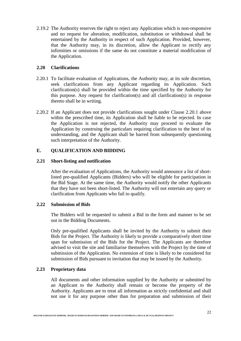2.19.2 The Authority reserves the right to reject any Application which is non-responsive and no request for alteration, modification, substitution or withdrawal shall be entertained by the Authority in respect of such Application. Provided, however, that the Authority may, in its discretion, allow the Applicant to rectify any infirmities or omissions if the same do not constitute a material modification of the Application.

### **2.20 Clarifications**

- 2.20.1 To facilitate evaluation of Applications, the Authority may, at its sole discretion, seek clarifications from any Applicant regarding its Application. Such clarification(s) shall be provided within the time specified by the Authority for this purpose. Any request for clarification(s) and all clarification(s) in response thereto shall be in writing.
- 2.20.2 If an Applicant does not provide clarifications sought under Clause 2.20.1 above within the prescribed time, its Application shall be liable to be rejected. In case the Application is not rejected, the Authority may proceed to evaluate the Application by construing the particulars requiring clarification to the best of its understanding, and the Applicant shall be barred from subsequently questioning such interpretation of the Authority.

## **E. QUALIFICATION AND BIDDING**

#### **2.21 Short-listing and notification**

After the evaluation of Applications, the Authority would announce a list of shortlisted pre-qualified Applicants (Bidders) who will be eligible for participation in the Bid Stage. At the same time, the Authority would notify the other Applicants that they have not been short-listed. The Authority will not entertain any query or clarification from Applicants who fail to qualify.

#### **2.22 Submission of Bids**

The Bidders will be requested to submit a Bid in the form and manner to be set out in the Bidding Documents.

Only pre-qualified Applicants shall be invited by the Authority to submit their Bids for the Project. The Authority is likely to provide a comparatively short time span for submission of the Bids for the Project. The Applicants are therefore advised to visit the site and familiarise themselves with the Project by the time of submission of the Application. No extension of time is likely to be considered for submission of Bids pursuant to invitation that may be issued by the Authority.

## **2.23 Proprietary data**

All documents and other information supplied by the Authority or submitted by an Applicant to the Authority shall remain or become the property of the Authority. Applicants are to treat all information as strictly confidential and shall not use it for any purpose other than for preparation and submission of their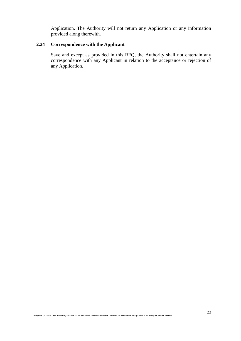Application. The Authority will not return any Application or any information provided along therewith.

## **2.24 Correspondence with the Applicant**

Save and except as provided in this RFQ, the Authority shall not entertain any correspondence with any Applicant in relation to the acceptance or rejection of any Application.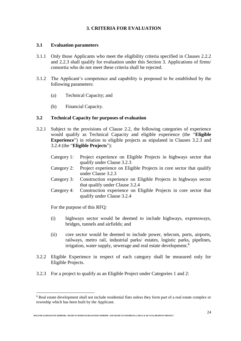## **3. CRITERIA FOR EVALUATION**

#### **3.1 Evaluation parameters**

- 3.1.1 Only those Applicants who meet the eligibility criteria specified in Clauses 2.2.2 and 2.2.3 shall qualify for evaluation under this Section 3. Applications of firms/ consortia who do not meet these criteria shall be rejected.
- 3.1.2 The Applicant's competence and capability is proposed to be established by the following parameters:
	- (a) Technical Capacity; and
	- (b) Financial Capacity.

#### **3.2 Technical Capacity for purposes of evaluation**

- 3.2.1 Subject to the provisions of Clause 2.2, the following categories of experience would qualify as Technical Capacity and eligible experience (the "**Eligible Experience**") in relation to eligible projects as stipulated in Clauses 3.2.3 and 3.2.4 (the "**Eligible Projects**"):
	- Category 1: Project experience on Eligible Projects in highways sector that qualify under Clause 3.2.3
	- Category 2: Project experience on Eligible Projects in core sector that qualify under Clause 3.2.3
	- Category 3: Construction experience on Eligible Projects in highways sector that qualify under Clause 3.2.4
	- Category 4: Construction experience on Eligible Projects in core sector that qualify under Clause 3.2.4

For the purpose of this RFQ:

 $\overline{a}$ 

- (i) highways sector would be deemed to include highways, expressways, bridges, tunnels and airfields; and
- (ii) core sector would be deemed to include power, telecom, ports, airports, railways, metro rail, industrial parks/ estates, logistic parks, pipelines, irrigation, water supply, sewerage and real estate development.<sup>\$</sup>
- 3.2.2 Eligible Experience in respect of each category shall be measured only for Eligible Projects.
- 3.2.3 For a project to qualify as an Eligible Project under Categories 1 and 2:

*RFQ FOR GADOJ(STATE BORDER) –MAJRI TO HARYANA/RAJASTHAN BORDER AND MAJRI TO NEEMRANA ( SH111 & SH 111A) HIGHWAY PROJECT*

<sup>\$</sup> Real estate development shall not include residential flats unless they form part of a real estate complex or township which has been built by the Applicant.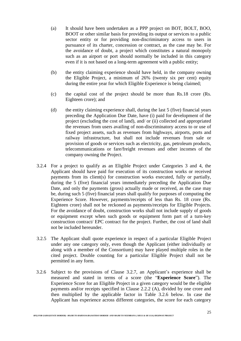- (a) It should have been undertaken as a PPP project on BOT, BOLT, BOO, BOOT or other similar basis for providing its output or services to a public sector entity or for providing non-discriminatory access to users in pursuance of its charter, concession or contract, as the case may be. For the avoidance of doubt, a project which constitutes a natural monopoly such as an airport or port should normally be included in this category even if it is not based on a long-term agreement with a public entity;
- (b) the entity claiming experience should have held, in the company owning the Eligible Project, a minimum of 26% (twenty six per cent) equity during the entire year for which Eligible Experience is being claimed;
- (c) the capital cost of the project should be more than Rs.18 crore (Rs. Eighteen crore); and
- (d) the entity claiming experience shall, during the last 5 (five) financial years preceding the Application Due Date, have (i) paid for development of the project (excluding the cost of land), and/ or (ii) collected and appropriated the revenues from users availing of non-discriminatory access to or use of fixed project assets, such as revenues from highways, airports, ports and railway infrastructure, but shall not include revenues from sale or provision of goods or services such as electricity, gas, petroleum products, telecommunications or fare/freight revenues and other incomes of the company owning the Project.
- 3.2.4 For a project to qualify as an Eligible Project under Categories 3 and 4, the Applicant should have paid for execution of its construction works or received payments from its client(s) for construction works executed, fully or partially, during the 5 (five) financial years immediately preceding the Application Due Date, and only the payments (gross) actually made or received, as the case may be, during such 5 (five) financial years shall qualify for purposes of computing the Experience Score. However, payments/receipts of less than Rs. 18 crore (Rs. Eighteen crore) shall not be reckoned as payments/receipts for Eligible Projects. For the avoidance of doubt, construction works shall not include supply of goods or equipment except when such goods or equipment form part of a turn-key construction contract/ EPC contract for the project. Further, the cost of land shall not be included hereunder.
- 3.2.5 The Applicant shall quote experience in respect of a particular Eligible Project under any one category only, even though the Applicant (either individually or along with a member of the Consortium) may have played multiple roles in the cited project. Double counting for a particular Eligible Project shall not be permitted in any form.
- 3.2.6 Subject to the provisions of Clause 3.2.7, an Applicant's experience shall be measured and stated in terms of a score (the "**Experience Score**"). The Experience Score for an Eligible Project in a given category would be the eligible payments and/or receipts specified in Clause 2.2.2 (A), divided by one crore and then multiplied by the applicable factor in Table 3.2.6 below. In case the Applicant has experience across different categories, the score for each category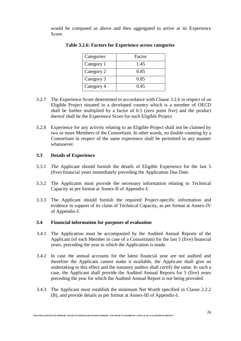would be computed as above and then aggregated to arrive at its Experience Score.

| Categories | Factor |
|------------|--------|
| Category 1 | 1.45   |
| Category 2 | 0.85   |
| Category 3 | 0.85   |
| Category 4 | 0.45   |

**Table 3.2.6: Factors for Experience across categories**

- 3.2.7 The Experience Score determined in accordance with Clause 3.2.6 in respect of an Eligible Project situated in a developed country which is a member of OECD shall be further multiplied by a factor of 0.5 (zero point five) and the product thereof shall be the Experience Score for such Eligible Project.
- 3.2.8 Experience for any activity relating to an Eligible Project shall not be claimed by two or more Members of the Consortium. In other words, no double counting by a Consortium in respect of the same experience shall be permitted in any manner whatsoever.

## **3.3 Details of Experience**

- 3.3.1 The Applicant should furnish the details of Eligible Experience for the last 5 (five) financial years immediately preceding the Application Due Date.
- 3.3.2 The Applicants must provide the necessary information relating to Technical Capacity as per format at Annex-II of Appendix-I.
- 3.3.3 The Applicant should furnish the required Project-specific information and evidence in support of its claim of Technical Capacity, as per format at Annex-IV of Appendix-I.

## **3.4 Financial information for purposes of evaluation**

- 3.4.1 The Application must be accompanied by the Audited Annual Reports of the Applicant (of each Member in case of a Consortium) for the last 5 (five) financial years, preceding the year in which the Application is made.
- 3.4.2 In case the annual accounts for the latest financial year are not audited and therefore the Applicant cannot make it available, the Applicant shall give an undertaking to this effect and the statutory auditor shall certify the same. In such a case, the Applicant shall provide the Audited Annual Reports for 5 (five) years preceding the year for which the Audited Annual Report is not being provided.
- 3.4.3 The Applicant must establish the minimum Net Worth specified in Clause 2.2.2 (B), and provide details as per format at Annex-III of Appendix-I.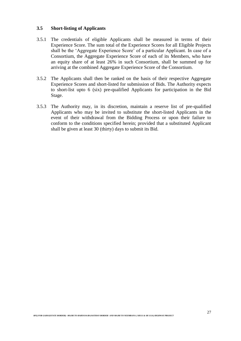## **3.5 Short-listing of Applicants**

- 3.5.1 The credentials of eligible Applicants shall be measured in terms of their Experience Score. The sum total of the Experience Scores for all Eligible Projects shall be the 'Aggregate Experience Score' of a particular Applicant. In case of a Consortium, the Aggregate Experience Score of each of its Members, who have an equity share of at least 26% in such Consortium, shall be summed up for arriving at the combined Aggregate Experience Score of the Consortium.
- 3.5.2 The Applicants shall then be ranked on the basis of their respective Aggregate Experience Scores and short-listed for submission of Bids. The Authority expects to short-list upto 6 (six) pre-qualified Applicants for participation in the Bid Stage.
- 3.5.3 The Authority may, in its discretion, maintain a reserve list of pre-qualified Applicants who may be invited to substitute the short-listed Applicants in the event of their withdrawal from the Bidding Process or upon their failure to conform to the conditions specified herein; provided that a substituted Applicant shall be given at least 30 (thirty) days to submit its Bid.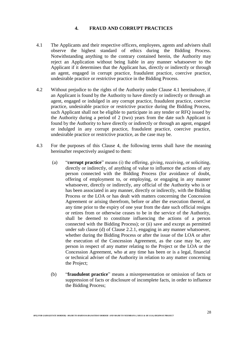## **4. FRAUD AND CORRUPT PRACTICES**

- 4.1 The Applicants and their respective officers, employees, agents and advisers shall observe the highest standard of ethics during the Bidding Process. Notwithstanding anything to the contrary contained herein, the Authority may reject an Application without being liable in any manner whatsoever to the Applicant if it determines that the Applicant has, directly or indirectly or through an agent, engaged in corrupt practice, fraudulent practice, coercive practice, undesirable practice or restrictive practice in the Bidding Process.
- 4.2 Without prejudice to the rights of the Authority under Clause 4.1 hereinabove, if an Applicant is found by the Authority to have directly or indirectly or through an agent, engaged or indulged in any corrupt practice, fraudulent practice, coercive practice, undesirable practice or restrictive practice during the Bidding Process, such Applicant shall not be eligible to participate in any tender or RFQ issued by the Authority during a period of 2 (two) years from the date such Applicant is found by the Authority to have directly or indirectly or through an agent, engaged or indulged in any corrupt practice, fraudulent practice, coercive practice, undesirable practice or restrictive practice, as the case may be.
- 4.3 For the purposes of this Clause 4, the following terms shall have the meaning hereinafter respectively assigned to them:
	- (a) "**corrupt practice**" means (i) the offering, giving, receiving, or soliciting, directly or indirectly, of anything of value to influence the actions of any person connected with the Bidding Process (for avoidance of doubt, offering of employment to, or employing, or engaging in any manner whatsoever, directly or indirectly, any official of the Authority who is or has been associated in any manner, directly or indirectly, with the Bidding Process or the LOA or has dealt with matters concerning the Concession Agreement or arising therefrom, before or after the execution thereof, at any time prior to the expiry of one year from the date such official resigns or retires from or otherwise ceases to be in the service of the Authority, shall be deemed to constitute influencing the actions of a person connected with the Bidding Process); or (ii) save and except as permitted under sub clause (d) of Clause 2.2.1, engaging in any manner whatsoever, whether during the Bidding Process or after the issue of the LOA or after the execution of the Concession Agreement, as the case may be, any person in respect of any matter relating to the Project or the LOA or the Concession Agreement, who at any time has been or is a legal, financial or technical adviser of the Authority in relation to any matter concerning the Project;
	- (b) "**fraudulent practice**" means a misrepresentation or omission of facts or suppression of facts or disclosure of incomplete facts, in order to influence the Bidding Process;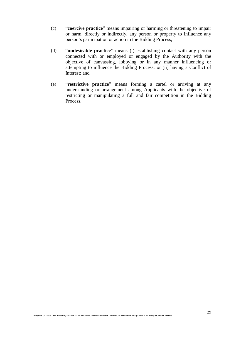- (c) "**coercive practice**" means impairing or harming or threatening to impair or harm, directly or indirectly, any person or property to influence any person's participation or action in the Bidding Process;
- (d) "**undesirable practice**" means (i) establishing contact with any person connected with or employed or engaged by the Authority with the objective of canvassing, lobbying or in any manner influencing or attempting to influence the Bidding Process; or (ii) having a Conflict of Interest; and
- (e) "**restrictive practice**" means forming a cartel or arriving at any understanding or arrangement among Applicants with the objective of restricting or manipulating a full and fair competition in the Bidding Process.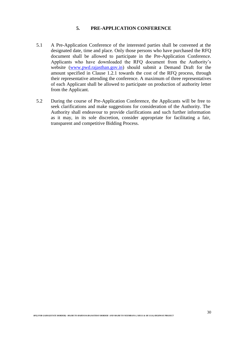## **5. PRE-APPLICATION CONFERENCE**

- 5.1 A Pre-Application Conference of the interested parties shall be convened at the designated date, time and place. Only those persons who have purchased the RFQ document shall be allowed to participate in the Pre-Application Conference. Applicants who have downloaded the RFQ document from the Authority's website [\(www.pwd.rajasthan.gov.in\)](http://www.pwd.rajasthan.gov.in/) should submit a Demand Draft for the amount specified in Clause 1.2.1 towards the cost of the RFQ process, through their representative attending the conference. A maximum of three representatives of each Applicant shall be allowed to participate on production of authority letter from the Applicant.
- 5.2 During the course of Pre-Application Conference, the Applicants will be free to seek clarifications and make suggestions for consideration of the Authority. The Authority shall endeavour to provide clarifications and such further information as it may, in its sole discretion, consider appropriate for facilitating a fair, transparent and competitive Bidding Process.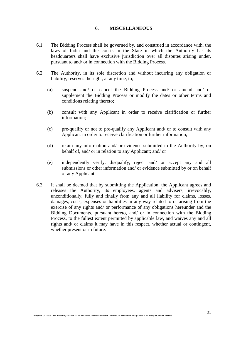#### **6. MISCELLANEOUS**

- 6.1 The Bidding Process shall be governed by, and construed in accordance with, the laws of India and the courts in the State in which the Authority has its headquarters shall have exclusive jurisdiction over all disputes arising under, pursuant to and/ or in connection with the Bidding Process.
- 6.2 The Authority, in its sole discretion and without incurring any obligation or liability, reserves the right, at any time, to;
	- (a) suspend and/ or cancel the Bidding Process and/ or amend and/ or supplement the Bidding Process or modify the dates or other terms and conditions relating thereto;
	- (b) consult with any Applicant in order to receive clarification or further information;
	- (c) pre-qualify or not to pre-qualify any Applicant and/ or to consult with any Applicant in order to receive clarification or further information;
	- (d) retain any information and/ or evidence submitted to the Authority by, on behalf of, and/ or in relation to any Applicant; and/ or
	- (e) independently verify, disqualify, reject and/ or accept any and all submissions or other information and/ or evidence submitted by or on behalf of any Applicant.
- 6.3 It shall be deemed that by submitting the Application, the Applicant agrees and releases the Authority, its employees, agents and advisers, irrevocably, unconditionally, fully and finally from any and all liability for claims, losses, damages, costs, expenses or liabilities in any way related to or arising from the exercise of any rights and/ or performance of any obligations hereunder and the Bidding Documents, pursuant hereto, and/ or in connection with the Bidding Process, to the fullest extent permitted by applicable law, and waives any and all rights and/ or claims it may have in this respect, whether actual or contingent, whether present or in future.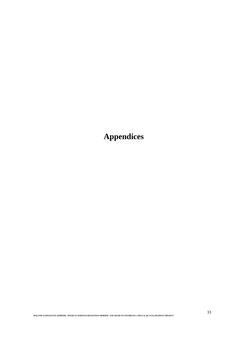**Appendices**

*RFQ FOR GADOJ(STATE BORDER) –MAJRI TO HARYANA/RAJASTHAN BORDER AND MAJRI TO NEEMRANA ( SH111 & SH 111A) HIGHWAY PROJECT*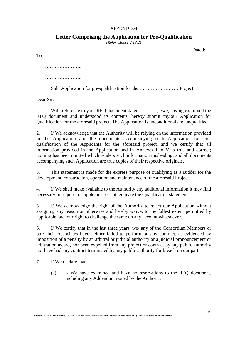## APPENDIX-I

# **Letter Comprising the Application for Pre-Qualification**

*(Refer Clause 2.13.2)*

Dated:

To,

………………….. ………………….. …………………..

Sub: Application for pre-qualification for the …………………… Project

Dear Sir,

With reference to your RFQ document dated .........., I/we, having examined the RFQ document and understood its contents, hereby submit my/our Application for Qualification for the aforesaid project. The Application is unconditional and unqualified.

2. I/ We acknowledge that the Authority will be relying on the information provided in the Application and the documents accompanying such Application for prequalification of the Applicants for the aforesaid project, and we certify that all information provided in the Application and in Annexes I to V is true and correct; nothing has been omitted which renders such information misleading; and all documents accompanying such Application are true copies of their respective originals.

3. This statement is made for the express purpose of qualifying as a Bidder for the development, construction, operation and maintenance of the aforesaid Project.

4. I/ We shall make available to the Authority any additional information it may find necessary or require to supplement or authenticate the Qualification statement.

5. I/ We acknowledge the right of the Authority to reject our Application without assigning any reason or otherwise and hereby waive, to the fullest extent permitted by applicable law, our right to challenge the same on any account whatsoever.

6. I/ We certify that in the last three years, we/ any of the Consortium Members or our/ their Associates have neither failed to perform on any contract, as evidenced by imposition of a penalty by an arbitral or judicial authority or a judicial pronouncement or arbitration award, nor been expelled from any project or contract by any public authority nor have had any contract terminated by any public authority for breach on our part.

7. I/ We declare that:

(a) I/ We have examined and have no reservations to the RFQ document, including any Addendum issued by the Authority;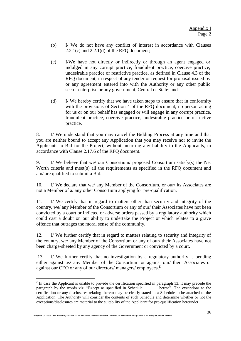- (b) I/ We do not have any conflict of interest in accordance with Clauses 2.2.1(c) and 2.2.1(d) of the RFQ document;
- (c) I/We have not directly or indirectly or through an agent engaged or indulged in any corrupt practice, fraudulent practice, coercive practice, undesirable practice or restrictive practice, as defined in Clause 4.3 of the RFQ document, in respect of any tender or request for proposal issued by or any agreement entered into with the Authority or any other public sector enterprise or any government, Central or State; and
- (d) I/ We hereby certify that we have taken steps to ensure that in conformity with the provisions of Section 4 of the RFO document, no person acting for us or on our behalf has engaged or will engage in any corrupt practice, fraudulent practice, coercive practice, undesirable practice or restrictive practice.

8. I/ We understand that you may cancel the Bidding Process at any time and that you are neither bound to accept any Application that you may receive nor to invite the Applicants to Bid for the Project, without incurring any liability to the Applicants, in accordance with Clause 2.17.6 of the RFQ document.

9. I/ We believe that we/ our Consortium/ proposed Consortium satisfy(s) the Net Worth criteria and meet(s) all the requirements as specified in the RFQ document and am/ are qualified to submit a Bid.

10. I/ We declare that we/ any Member of the Consortium, or our/ its Associates are not a Member of a/ any other Consortium applying for pre-qualification.

11. I/ We certify that in regard to matters other than security and integrity of the country, we/ any Member of the Consortium or any of our/ their Associates have not been convicted by a court or indicted or adverse orders passed by a regulatory authority which could cast a doubt on our ability to undertake the Project or which relates to a grave offence that outrages the moral sense of the community.

12. I/ We further certify that in regard to matters relating to security and integrity of the country, we/ any Member of the Consortium or any of our/ their Associates have not been charge-sheeted by any agency of the Government or convicted by a court.

13. I/ We further certify that no investigation by a regulatory authority is pending either against us/ any Member of the Consortium or against our/ their Associates or against our CEO or any of our directors/ managers/ employees. $\pm$ 

 $\overline{a}$ 

 $\epsilon$  In case the Applicant is unable to provide the certification specified in paragraph 13, it may precede the paragraph by the words viz. "Except as specified in Schedule ……..... hereto". The exceptions to the certification or any disclosures relating thereto may be clearly stated in a Schedule to be attached to the Application. The Authority will consider the contents of such Schedule and determine whether or not the exceptions/disclosures are material to the suitability of the Applicant for pre-qualification hereunder.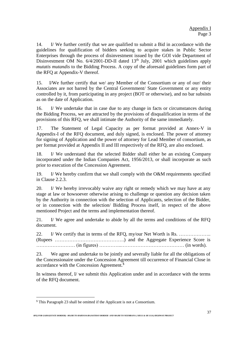14. I/ We further certify that we are qualified to submit a Bid in accordance with the guidelines for qualification of bidders seeking to acquire stakes in Public Sector Enterprises through the process of disinvestment issued by the GOI vide Department of Disinvestment OM No.  $6/4/2001$ -DD-II dated  $13<sup>th</sup>$  July, 2001 which guidelines apply *mutatis mutandis* to the Bidding Process. A copy of the aforesaid guidelines form part of the RFQ at Appendix-V thereof.

15. I/We further certify that we/ any Member of the Consortium or any of our/ their Associates are not barred by the Central Government/ State Government or any entity controlled by it, from participating in any project (BOT or otherwise), and no bar subsists as on the date of Application.

16. I/ We undertake that in case due to any change in facts or circumstances during the Bidding Process, we are attracted by the provisions of disqualification in terms of the provisions of this RFQ, we shall intimate the Authority of the same immediately.

17. The Statement of Legal Capacity as per format provided at Annex-V in Appendix-I of the RFQ document, and duly signed, is enclosed. The power of attorney for signing of Application and the power of attorney for Lead Member of consortium, as per format provided at Appendix II and III respectively of the RFQ, are also enclosed.

18. I/ We understand that the selected Bidder shall either be an existing Company incorporated under the Indian Companies Act, 1956/2013, or shall incorporate as such prior to execution of the Concession Agreement.

19. I/ We hereby confirm that we shall comply with the O&M requirements specified in Clause 2.2.3.

20. I/ We hereby irrevocably waive any right or remedy which we may have at any stage at law or howsoever otherwise arising to challenge or question any decision taken by the Authority in connection with the selection of Applicants, selection of the Bidder, or in connection with the selection/ Bidding Process itself, in respect of the above mentioned Project and the terms and implementation thereof.

21. I/ We agree and undertake to abide by all the terms and conditions of the RFQ document.

22. I/ We certify that in terms of the RFQ, my/our Net Worth is Rs. ……………….. (Rupees …………………………………….) and the Aggregate Experience Score is …………………… (in figures) …………..………………………………… (in words).

23. We agree and undertake to be jointly and severally liable for all the obligations of the Concessionaire under the Concession Agreement till occurrence of Financial Close in accordance with the Concession Agreement.\$

In witness thereof, I/ we submit this Application under and in accordance with the terms of the RFQ document.

 $\overline{a}$ 

<sup>\$</sup> This Paragraph 23 shall be omitted if the Applicant is not a Consortium.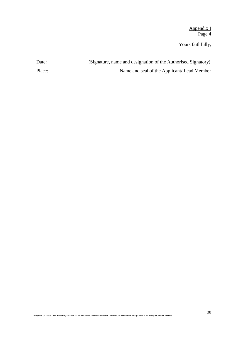Appendix I Page 4

Yours faithfully,

| Date:  | (Signature, name and designation of the Authorised Signatory) |
|--------|---------------------------------------------------------------|
| Place: | Name and seal of the Applicant/Lead Member                    |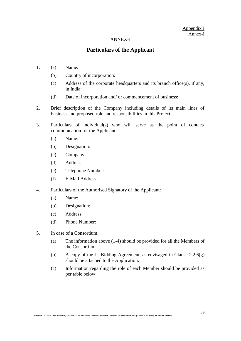## Appendix I Annex-I

#### ANNEX-I

# **Particulars of the Applicant**

- 1. (a) Name:
	- (b) Country of incorporation:
	- (c) Address of the corporate headquarters and its branch office(s), if any, in India:
	- (d) Date of incorporation and/ or commencement of business:
- 2. Brief description of the Company including details of its main lines of business and proposed role and responsibilities in this Project:
- 3. Particulars of individual(s) who will serve as the point of contact/ communication for the Applicant:
	- (a) Name:
	- (b) Designation:
	- (c) Company:
	- (d) Address:
	- (e) Telephone Number:
	- (f) E-Mail Address:
- 4. Particulars of the Authorised Signatory of the Applicant:
	- (a) Name:
	- (b) Designation:
	- (c) Address:
	- (d) Phone Number:
- 5. In case of a Consortium:
	- (a) The information above (1-4) should be provided for all the Members of the Consortium.
	- (b) A copy of the Jt. Bidding Agreement, as envisaged in Clause  $2.2.6(g)$ should be attached to the Application.
	- (c) Information regarding the role of each Member should be provided as per table below: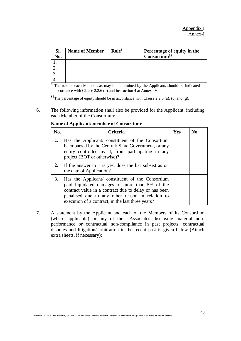| SI. | <b>Name of Member</b> | $\text{Role}^{\$}$ | Percentage of equity in the |
|-----|-----------------------|--------------------|-----------------------------|
| No. |                       |                    | Consortium <sup>\$\$</sup>  |
|     |                       |                    |                             |
|     |                       |                    |                             |
|     |                       |                    |                             |
|     |                       |                    |                             |

 $\frac{\sqrt[5]{8}}{10}$  The role of each Member, as may be determined by the Applicant, should be indicated in accordance with Clause 2.2.6 (d) and instruction 4 at Annex-IV.

\$\$The percentage of equity should be in accordance with Clause 2.2.6 (a), (c) and (g).

6. The following information shall also be provided for the Applicant, including each Member of the Consortium:

| No. | <b>Criteria</b>                                                                                                                                                                                                                                                      | Yes | $\bf No$ |
|-----|----------------------------------------------------------------------------------------------------------------------------------------------------------------------------------------------------------------------------------------------------------------------|-----|----------|
| 1.  | Has the Applicant/ constituent of the Consortium<br>been barred by the Central/ State Government, or any<br>entity controlled by it, from participating in any<br>project (BOT or otherwise)?                                                                        |     |          |
| 2.  | If the answer to 1 is yes, does the bar subsist as on<br>the date of Application?                                                                                                                                                                                    |     |          |
| 3.  | Has the Applicant/ constituent of the Consortium<br>paid liquidated damages of more than 5% of the<br>contract value in a contract due to delay or has been<br>penalised due to any other reason in relation to<br>execution of a contract, in the last three years? |     |          |

**Name of Applicant/ member of Consortium:**

7. A statement by the Applicant and each of the Members of its Consortium (where applicable) or any of their Associates disclosing material nonperformance or contractual non-compliance in past projects, contractual disputes and litigation/ arbitration in the recent past is given below (Attach extra sheets, if necessary):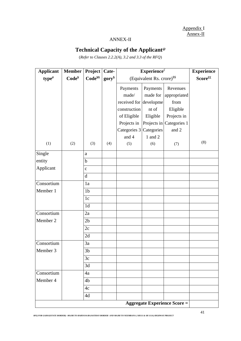Appendix I Annex-II

# ANNEX-II

# **Technical Capacity of the Applicant@**

(*Refer to Clauses 2.2.2(A), 3.2 and 3.3 of the RFQ*)

| <b>Applicant</b>  | <b>Member</b>     | <b>Project</b>     | Cate-            | $\mathbf{Experiment}$                  | <b>Experience</b> |                                     |     |
|-------------------|-------------------|--------------------|------------------|----------------------------------------|-------------------|-------------------------------------|-----|
| type <sup>#</sup> | Code <sup>Y</sup> | Code <sup>yy</sup> | $gory^{\$}$      | (Equivalent Rs. crore) <sup>\$\$</sup> | Scoreff           |                                     |     |
|                   |                   |                    |                  | Payments                               | Payments          | Revenues                            |     |
|                   |                   |                    |                  | made/                                  | made for          | appropriated                        |     |
|                   |                   |                    |                  | received for developme                 |                   | from                                |     |
|                   |                   |                    |                  | construction                           | nt of             | Eligible                            |     |
|                   |                   |                    |                  | of Eligible                            | Eligible          | Projects in                         |     |
|                   |                   |                    |                  | Projects in                            |                   | Projects in Categories 1            |     |
|                   |                   |                    |                  | Categories 3 Categories                |                   | and 2                               |     |
|                   |                   |                    | and 4<br>1 and 2 |                                        |                   |                                     |     |
| (1)               | (2)               | (3)                | (4)              | (5)                                    | (6)               | (7)                                 | (8) |
| Single            |                   | a                  |                  |                                        |                   |                                     |     |
| entity            |                   | $\mathbf b$        |                  |                                        |                   |                                     |     |
| Applicant         |                   | $\mathbf{C}$       |                  |                                        |                   |                                     |     |
|                   |                   | $\mathbf d$        |                  |                                        |                   |                                     |     |
| Consortium        |                   | 1a                 |                  |                                        |                   |                                     |     |
| Member 1          |                   | 1 <sub>b</sub>     |                  |                                        |                   |                                     |     |
|                   |                   | 1c                 |                  |                                        |                   |                                     |     |
|                   |                   | 1 <sub>d</sub>     |                  |                                        |                   |                                     |     |
| Consortium        |                   | 2a                 |                  |                                        |                   |                                     |     |
| Member 2          |                   | 2 <sub>b</sub>     |                  |                                        |                   |                                     |     |
|                   |                   | 2c                 |                  |                                        |                   |                                     |     |
|                   |                   | 2d                 |                  |                                        |                   |                                     |     |
| Consortium        |                   | 3a                 |                  |                                        |                   |                                     |     |
| Member 3          |                   | 3 <sub>b</sub>     |                  |                                        |                   |                                     |     |
|                   |                   | 3c                 |                  |                                        |                   |                                     |     |
|                   |                   | 3d                 |                  |                                        |                   |                                     |     |
| Consortium        |                   | 4a                 |                  |                                        |                   |                                     |     |
| Member 4          |                   | 4 <sub>b</sub>     |                  |                                        |                   |                                     |     |
|                   |                   | 4c                 |                  |                                        |                   |                                     |     |
|                   |                   | 4d                 |                  |                                        |                   |                                     |     |
|                   |                   |                    |                  |                                        |                   | <b>Aggregate Experience Score =</b> |     |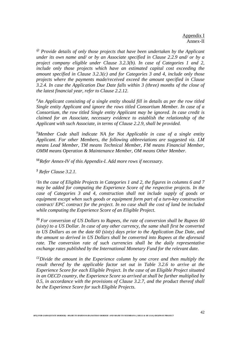*@ Provide details of only those projects that have been undertaken by the Applicant under its own name and/ or by an Associate specified in Clause 2.2.9 and/ or by a project company eligible under Clause 3.2.3(b). In case of Categories 1 and 2, include only those projects which have an estimated capital cost exceeding the amount specified in Clause 3.2.3(c) and for Categories 3 and 4, include only those projects where the payments made/received exceed the amount specified in Clause 3.2.4. In case the Application Due Date falls within 3 (three) months of the close of the latest financial year, refer to Clause 2.2.12.*

*#An Applicant consisting of a single entity should fill in details as per the row titled Single entity Applicant and ignore the rows titled Consortium Member. In case of a Consortium, the row titled Single entity Applicant may be ignored. In case credit is claimed for an Associate, necessary evidence to establish the relationship of the Applicant with such Associate, in terms of Clause 2.2.9, shall be provided.*

*¥Member Code shall indicate NA for Not Applicable in case of a single entity Applicant. For other Members, the following abbreviations are suggested viz. LM means Lead Member, TM means Technical Member, FM means Financial Member, OMM means Operation & Maintenance Member, OM means Other Member.* 

¥¥*Refer Annex-IV of this Appendix-I. Add more rows if necessary.* 

*\$ Refer Clause 3.2.1.*

*£ In the case of Eligible Projects in Categories 1 and 2, the figures in columns 6 and 7 may be added for computing the Experience Score of the respective projects. In the case of Categories 3 and 4, construction shall not include supply of goods or equipment except when such goods or equipment form part of a turn-key construction contract/ EPC contract for the project. In no case shall the cost of land be included while computing the Experience Score of an Eligible Project.*

*\$\$ For conversion of US Dollars to Rupees, the rate of conversion shall be Rupees 60 (sixty) to a US Dollar. In case of any other currency, the same shall first be converted to US Dollars as on the date 60 (sixty) days prior to the Application Due Date, and the amount so derived in US Dollars shall be converted into Rupees at the aforesaid rate. The conversion rate of such currencies shall be the daily representative exchange rates published by the International Monetary Fund for the relevant date.*

*££Divide the amount in the Experience column by one crore and then multiply the result thereof by the applicable factor set out in Table 3.2.6 to arrive at the Experience Score for each Eligible Project. In the case of an Eligible Project situated in an OECD country, the Experience Score so arrived at shall be further multiplied by 0.5, in accordance with the provisions of Clause 3.2.7, and the product thereof shall be the Experience Score for such Eligible Projects.*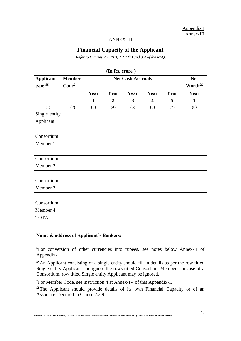Appendix I Annex-III

#### ANNEX-III

# **Financial Capacity of the Applicant**

(*Refer to Clauses 2.2.2(B), 2.2.4 (ii) and 3.4 of the RFQ*)

| <b>Applicant</b> | <b>Member</b>     |      | <b>Net Cash Accruals</b>                                                                                                                                        |  |  |  |      |  |  |  |  |  |  |  |  |  |
|------------------|-------------------|------|-----------------------------------------------------------------------------------------------------------------------------------------------------------------|--|--|--|------|--|--|--|--|--|--|--|--|--|
| type \$\$        | Code <sup>f</sup> |      | Worth <sup>££</sup><br>Year<br>Year<br>Year<br>Year<br>5<br>$\mathbf{3}$<br>$\boldsymbol{2}$<br>$\overline{\mathbf{4}}$<br>1<br>(3)<br>(4)<br>(5)<br>(6)<br>(7) |  |  |  |      |  |  |  |  |  |  |  |  |  |
|                  |                   | Year |                                                                                                                                                                 |  |  |  | Year |  |  |  |  |  |  |  |  |  |
|                  |                   |      |                                                                                                                                                                 |  |  |  | 1    |  |  |  |  |  |  |  |  |  |
| (1)              | (2)               |      |                                                                                                                                                                 |  |  |  | (8)  |  |  |  |  |  |  |  |  |  |
| Single entity    |                   |      |                                                                                                                                                                 |  |  |  |      |  |  |  |  |  |  |  |  |  |
| Applicant        |                   |      |                                                                                                                                                                 |  |  |  |      |  |  |  |  |  |  |  |  |  |
|                  |                   |      |                                                                                                                                                                 |  |  |  |      |  |  |  |  |  |  |  |  |  |
| Consortium       |                   |      |                                                                                                                                                                 |  |  |  |      |  |  |  |  |  |  |  |  |  |
| Member 1         |                   |      |                                                                                                                                                                 |  |  |  |      |  |  |  |  |  |  |  |  |  |
|                  |                   |      |                                                                                                                                                                 |  |  |  |      |  |  |  |  |  |  |  |  |  |
| Consortium       |                   |      |                                                                                                                                                                 |  |  |  |      |  |  |  |  |  |  |  |  |  |
| Member 2         |                   |      |                                                                                                                                                                 |  |  |  |      |  |  |  |  |  |  |  |  |  |
|                  |                   |      |                                                                                                                                                                 |  |  |  |      |  |  |  |  |  |  |  |  |  |
| Consortium       |                   |      |                                                                                                                                                                 |  |  |  |      |  |  |  |  |  |  |  |  |  |
| Member 3         |                   |      |                                                                                                                                                                 |  |  |  |      |  |  |  |  |  |  |  |  |  |
|                  |                   |      |                                                                                                                                                                 |  |  |  |      |  |  |  |  |  |  |  |  |  |
| Consortium       |                   |      |                                                                                                                                                                 |  |  |  |      |  |  |  |  |  |  |  |  |  |
| Member 4         |                   |      |                                                                                                                                                                 |  |  |  |      |  |  |  |  |  |  |  |  |  |
| <b>TOTAL</b>     |                   |      |                                                                                                                                                                 |  |  |  |      |  |  |  |  |  |  |  |  |  |

**(In Rs. crore \$ )**

#### **Name & address of Applicant's Bankers:**

\$For conversion of other currencies into rupees, see notes below Annex-II of Appendix-I.

**\$\$**An Applicant consisting of a single entity should fill in details as per the row titled Single entity Applicant and ignore the rows titled Consortium Members. In case of a Consortium, row titled Single entity Applicant may be ignored.

**£**For Member Code, see instruction 4 at Annex-IV of this Appendix-I.

**££**The Applicant should provide details of its own Financial Capacity or of an Associate specified in Clause 2.2.9.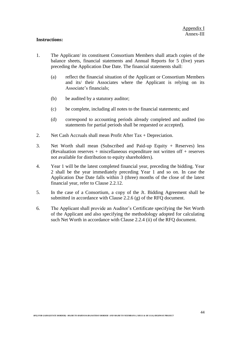#### **Instructions:**

- 1. The Applicant/ its constituent Consortium Members shall attach copies of the balance sheets, financial statements and Annual Reports for 5 (five) years preceding the Application Due Date. The financial statements shall:
	- (a) reflect the financial situation of the Applicant or Consortium Members and its/ their Associates where the Applicant is relying on its Associate's financials;
	- (b) be audited by a statutory auditor;
	- (c) be complete, including all notes to the financial statements; and
	- (d) correspond to accounting periods already completed and audited (no statements for partial periods shall be requested or accepted).
- 2. Net Cash Accruals shall mean Profit After Tax + Depreciation.
- 3. Net Worth shall mean (Subscribed and Paid-up Equity + Reserves) less (Revaluation reserves + miscellaneous expenditure not written off + reserves not available for distribution to equity shareholders).
- 4. Year 1 will be the latest completed financial year, preceding the bidding. Year 2 shall be the year immediately preceding Year 1 and so on. In case the Application Due Date falls within 3 (three) months of the close of the latest financial year, refer to Clause 2.2.12.
- 5. In the case of a Consortium, a copy of the Jt. Bidding Agreement shall be submitted in accordance with Clause 2.2.6 (g) of the RFQ document.
- 6. The Applicant shall provide an Auditor's Certificate specifying the Net Worth of the Applicant and also specifying the methodology adopted for calculating such Net Worth in accordance with Clause 2.2.4 (ii) of the RFQ document.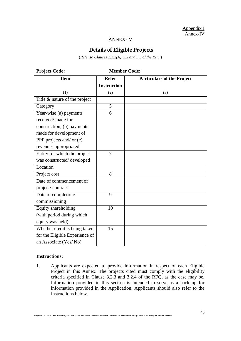Appendix I Annex-IV

#### ANNEX-IV

# **Details of Eligible Projects**

(*Refer to Clauses 2.2.2(A), 3.2 and 3.3 of the RFQ*)

| <b>Project Code:</b>           |                    | <b>Member Code:</b>               |
|--------------------------------|--------------------|-----------------------------------|
| <b>Item</b>                    | <b>Refer</b>       | <b>Particulars of the Project</b> |
|                                | <b>Instruction</b> |                                   |
| (1)                            | (2)                | (3)                               |
| Title & nature of the project  |                    |                                   |
| Category                       | $\overline{5}$     |                                   |
| Year-wise (a) payments         | 6                  |                                   |
| received/ made for             |                    |                                   |
| construction, (b) payments     |                    |                                   |
| made for development of        |                    |                                   |
| PPP projects and/ or (c)       |                    |                                   |
| revenues appropriated          |                    |                                   |
| Entity for which the project   | $\overline{7}$     |                                   |
| was constructed/developed      |                    |                                   |
| Location                       |                    |                                   |
| Project cost                   | 8                  |                                   |
| Date of commencement of        |                    |                                   |
| project/contract               |                    |                                   |
| Date of completion/            | 9                  |                                   |
| commissioning                  |                    |                                   |
| Equity shareholding            | 10                 |                                   |
| (with period during which      |                    |                                   |
| equity was held)               |                    |                                   |
| Whether credit is being taken  | 15                 |                                   |
| for the Eligible Experience of |                    |                                   |
| an Associate (Yes/No)          |                    |                                   |

## **Instructions:**

1. Applicants are expected to provide information in respect of each Eligible Project in this Annex. The projects cited must comply with the eligibility criteria specified in Clause 3.2.3 and 3.2.4 of the RFQ, as the case may be. Information provided in this section is intended to serve as a back up for information provided in the Application. Applicants should also refer to the Instructions below.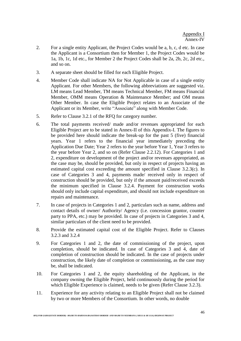- 2. For a single entity Applicant, the Project Codes would be a, b, c, d etc. In case the Applicant is a Consortium then for Member 1, the Project Codes would be 1a, 1b, 1c, 1d etc., for Member 2 the Project Codes shall be 2a, 2b, 2c, 2d etc., and so on.
- 3. A separate sheet should be filled for each Eligible Project.
- 4. Member Code shall indicate NA for Not Applicable in case of a single entity Applicant. For other Members, the following abbreviations are suggested viz. LM means Lead Member, TM means Technical Member, FM means Financial Member, OMM means Operation & Maintenance Member; and OM means Other Member. In case the Eligible Project relates to an Associate of the Applicant or its Member, write "Associate" along with Member Code.
- 5. Refer to Clause 3.2.1 of the RFQ for category number.
- 6. The total payments received/ made and/or revenues appropriated for each Eligible Project are to be stated in Annex-II of this Appendix-I. The figures to be provided here should indicate the break-up for the past 5 (five) financial years. Year 1 refers to the financial year immediately preceding the Application Due Date; Year 2 refers to the year before Year 1, Year 3 refers to the year before Year 2, and so on (Refer Clause 2.2.12). For Categories 1 and 2, expenditure on development of the project and/or revenues appropriated, as the case may be, should be provided, but only in respect of projects having an estimated capital cost exceeding the amount specified in Clause 3.2.3(c). In case of Categories 3 and 4, payments made/ received only in respect of construction should be provided, but only if the amount paid/received exceeds the minimum specified in Clause 3.2.4. Payment for construction works should only include capital expenditure, and should not include expenditure on repairs and maintenance.
- 7. In case of projects in Categories 1 and 2, particulars such as name, address and contact details of owner/ Authority/ Agency (i.e. concession grantor, counter party to PPA, etc.) may be provided. In case of projects in Categories 3 and 4, similar particulars of the client need to be provided.
- 8. Provide the estimated capital cost of the Eligible Project. Refer to Clauses 3.2.3 and 3.2.4
- 9. For Categories 1 and 2, the date of commissioning of the project, upon completion, should be indicated. In case of Categories 3 and 4, date of completion of construction should be indicated. In the case of projects under construction, the likely date of completion or commissioning, as the case may be, shall be indicated.
- 10. For Categories 1 and 2, the equity shareholding of the Applicant, in the company owning the Eligible Project, held continuously during the period for which Eligible Experience is claimed, needs to be given (Refer Clause 3.2.3).
- 11. Experience for any activity relating to an Eligible Project shall not be claimed by two or more Members of the Consortium. In other words, no double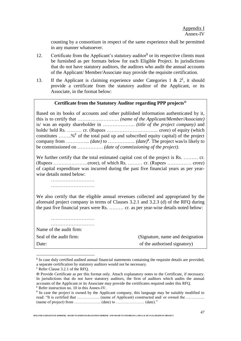counting by a consortium in respect of the same experience shall be permitted in any manner whatsoever.

- 12. Certificate from the Applicant's statutory auditor<sup>\$</sup> or its respective clients must be furnished as per formats below for each Eligible Project. In jurisdictions that do not have statutory auditors, the auditors who audit the annual accounts of the Applicant/ Member/Associate may provide the requisite certification.
- 13. If the Applicant is claiming experience under Categories 1 &  $2^{\xi}$ , it should provide a certificate from the statutory auditor of the Applicant, or its Associate, in the format below:

#### **Certificate from the Statutory Auditor regarding PPP projects**

Based on its books of accounts and other published information authenticated by it, this is to certify that …………………….. *(name of the Applicant/Member/Associate)*  is/ was an equity shareholder in ……………….. *(title of the project company)* and holds/ held Rs. ……… cr. (Rupees ………………………….. crore) of equity (which constitutes ........%  $\epsilon$  of the total paid up and subscribed equity capital) of the project company from …………... *(date)* to …………….. *(date)¥ .* The project was/is likely to be commissioned on ……………. *(date of commissioning of the project)*.

We further certify that the total estimated capital cost of the project is Rs. ……… cr. (Rupees …………………crore), of which Rs. ……… cr. (Rupees …………… crore) of capital expenditure was incurred during the past five financial years as per yearwise details noted below:

……………………… ……………………………

We also certify that the eligible annual revenues collected and appropriated by the aforesaid project company in terms of Clauses 3.2.1 and 3.2.3 (d) of the RFQ during the past five financial years were Rs. ……… cr. as per year-wise details noted below:

……………………… ……………………… Name of the audit firm: Seal of the audit firm: (Signature, name and designation) Date: of the authorised signatory)

 $\overline{a}$ 

*RFQ FOR GADOJ(STATE BORDER) –MAJRI TO HARYANA/RAJASTHAN BORDER AND MAJRI TO NEEMRANA ( SH111 & SH 111A) HIGHWAY PROJECT*

<sup>&</sup>lt;sup>§</sup> In case duly certified audited annual financial statements containing the requisite details are provided, a separate certification by statutory auditors would not be necessary.

 $E$  Refer Clause 3.2.1 of the RFO.

Provide Certificate as per this format only. Attach explanatory notes to the Certificate, if necessary. In jurisdictions that do not have statutory auditors, the firm of auditors which audits the annual accounts of the Applicant or its Associate may provide the certificates required under this RFQ.  $\epsilon$  Refer instruction no. 10 in this Annex-IV.

<sup>¥</sup> In case the project is owned by the Applicant company, this language may be suitably modified to read: "It is certified that …………….. (name of Applicant) constructed and/ or owned the …………. (name of project) from  $\ldots$   $\ldots$   $\ldots$   $\ldots$   $\ldots$   $\ldots$   $\ldots$   $\ldots$   $\ldots$   $\ldots$   $\ldots$   $\ldots$   $\ldots$   $\ldots$   $\ldots$   $\ldots$   $\ldots$   $\ldots$   $\ldots$   $\ldots$   $\ldots$   $\ldots$   $\ldots$   $\ldots$   $\ldots$   $\ldots$   $\ldots$   $\ldots$   $\ldots$   $\ldots$   $\ldots$   $\ldots$   $\ldots$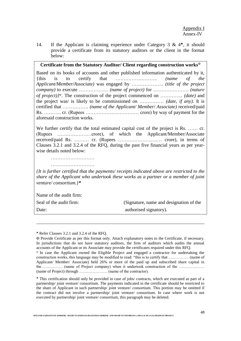14. If the Applicant is claiming experience under Category 3 &  $4^*$ , it should provide a certificate from its statutory auditors or the client in the format below:

## **Certificate from the Statutory Auditor/ Client regarding construction works**

Based on its books of accounts and other published information authenticated by it, {this is to certify that …………………….. *(name of the Applicant/Member/Associate)* was engaged by ……………….. *(title of the project company)* to execute ……………… *(name of project)* for …………………. *(nature of project)}* . The construction of the project commenced on ………….. *(date)* and the project was/ is likely to be commissioned on …………… *(date, if any)*. It is certified that ……………. *(name of the Applicant/ Member/ Associate)* received/paid Rs. ……….. cr. (Rupees …………………………… crore) by way of payment for the aforesaid construction works.

We further certify that the total estimated capital cost of the project is Rs. ...... cr. (Rupees …………………crore), of which the Applicant/Member/Associate received/paid Rs. ……… cr. (Rupees ……………………… crore), in terms of Clauses 3.2.1 and 3.2.4 of the RFQ, during the past five financial years as per yearwise details noted below:

………………………

*{It is further certified that the payments/ receipts indicated above are restricted to the share of the Applicant who undertook these works as a partner or a member of joint venture/ consortium.}*

Name of the audit firm:

 $\overline{a}$ 

Seal of the audit firm: (Signature, name and designation of the Date: authorised signatory).

Refer Clauses 3.2.1 and 3.2.4 of the RFQ.

Provide Certificate as per this format only. Attach explanatory notes to the Certificate, if necessary. In jurisdictions that do not have statutory auditors, the firm of auditors which audits the annual accounts of the Applicant or its Associate may provide the certificates required under this RFQ.

In case the Applicant owned the Eligible Project and engaged a contractor for undertaking the construction works, this language may be modified to read: "this is to certify that …………… (name of Applicant/ Member/ Associate) held 26% or more of the paid up and subscribed share capital in the……………. (name of Project company) when it undertook construction of the ………………. (name of Project) through ………………… (name of the contractor).

This certification should only be provided in case of jobs/ contracts, which are executed as part of a partnership/ joint venture/ consortium. The payments indicated in the certificate should be restricted to the share of Applicant in such partnership/ joint venture/ consortium. This portion may be omitted if the contract did not involve a partnership/ joint venture/ consortium. In case where work is not executed by partnership/ joint venture/ consortium, this paragraph may be deleted.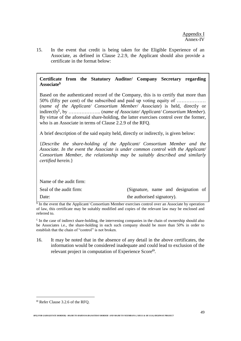15. In the event that credit is being taken for the Eligible Experience of an Associate, as defined in Clause 2.2.9, the Applicant should also provide a certificate in the format below:

# **Certificate from the Statutory Auditor/ Company Secretary regarding Associate\$**

Based on the authenticated record of the Company, this is to certify that more than 50% (fifty per cent) of the subscribed and paid up voting equity of ……………… (*name of the Applicant/ Consortium Member/ Associate*) is held, directly or indirectly£ , by ……………….. (*name of Associate/ Applicant/ Consortium Member*). By virtue of the aforesaid share-holding, the latter exercises control over the former, who is an Associate in terms of Clause 2.2.9 of the RFQ.

A brief description of the said equity held, directly or indirectly, is given below:

{*Describe the share-holding of the Applicant/ Consortium Member and the Associate. In the event the Associate is under common control with the Applicant/ Consortium Member, the relationship may be suitably described and similarly certified herein.*}

Name of the audit firm:

| Seal of the audit firm: | (Signature, name and designation of |
|-------------------------|-------------------------------------|
| Date:                   | the authorised signatory).          |

<sup>§</sup> In the event that the Applicant/ Consortium Member exercises control over an Associate by operation of law, this certificate may be suitably modified and copies of the relevant law may be enclosed and referred to.

 $\epsilon$  In the case of indirect share-holding, the intervening companies in the chain of ownership should also be Associates i.e., the share-holding in each such company should be more than 50% in order to establish that the chain of "control" is not broken.

16. It may be noted that in the absence of any detail in the above certificates, the information would be considered inadequate and could lead to exclusion of the relevant project in computation of Experience Score<sup> $\Theta$ </sup>.

 $\overline{a}$ 

Refer Clause 3.2.6 of the RFQ.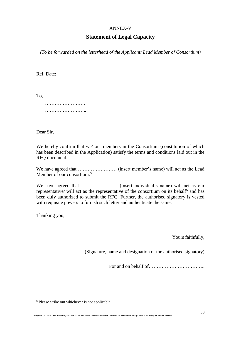## ANNEX-V

# **Statement of Legal Capacity**

*(To be forwarded on the letterhead of the Applicant/ Lead Member of Consortium)*

Ref. Date:

To,

Dear Sir,

We hereby confirm that we/ our members in the Consortium (constitution of which has been described in the Application) satisfy the terms and conditions laid out in the RFQ document.

We have agreed that …………………… (insert member's name) will act as the Lead Member of our consortium. \$

We have agreed that ………………….. (insert individual's name) will act as our representative/ will act as the representative of the consortium on its behalf<sup>\$</sup> and has been duly authorized to submit the RFQ. Further, the authorised signatory is vested with requisite powers to furnish such letter and authenticate the same.

Thanking you,

 $\overline{a}$ 

Yours faithfully,

(Signature, name and designation of the authorised signatory)

For and on behalf of <u>manual contract</u>

<sup>\$</sup> Please strike out whichever is not applicable*.*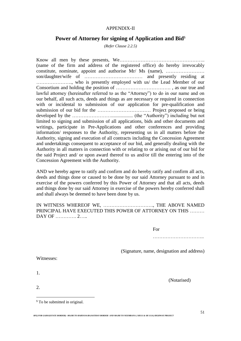## APPENDIX-II

## **Power of Attorney for signing of Application and Bid<sup>§</sup>**

*(Refer Clause 2.2.5)*

Know all men by these presents, We…………………………………………….. (name of the firm and address of the registered office) do hereby irrevocably constitute, nominate, appoint and authorise Mr/ Ms (name), …………………… son/daughter/wife of ……………………………… and presently residing at …………………., who is presently employed with us/ the Lead Member of our Consortium and holding the position of ……………………………. , as our true and lawful attorney (hereinafter referred to as the "Attorney") to do in our name and on our behalf, all such acts, deeds and things as are necessary or required in connection with or incidental to submission of our application for pre-qualification and submission of our bid for the …………………………… Project proposed or being developed by the …………………….................. (the "Authority") including but not limited to signing and submission of all applications, bids and other documents and writings, participate in Pre-Applications and other conferences and providing information/ responses to the Authority, representing us in all matters before the Authority, signing and execution of all contracts including the Concession Agreement and undertakings consequent to acceptance of our bid, and generally dealing with the Authority in all matters in connection with or relating to or arising out of our bid for the said Project and/ or upon award thereof to us and/or till the entering into of the Concession Agreement with the Authority.

AND we hereby agree to ratify and confirm and do hereby ratify and confirm all acts, deeds and things done or caused to be done by our said Attorney pursuant to and in exercise of the powers conferred by this Power of Attorney and that all acts, deeds and things done by our said Attorney in exercise of the powers hereby conferred shall and shall always be deemed to have been done by us.

## IN WITNESS WHEREOF WE, …………………………., THE ABOVE NAMED PRINCIPAL HAVE EXECUTED THIS POWER OF ATTORNEY ON THIS ……… DAY OF …………. 2……

For

…………………………..

(Signature, name, designation and address)

Witnesses:

1.

2.

 $\overline{a}$ 

(Notarised)

<sup>\$</sup> To be submitted in original.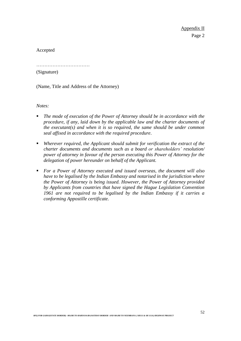Appendix II Page 2

Accepted

……………………………

(Signature)

(Name, Title and Address of the Attorney)

*Notes:* 

- *The mode of execution of the Power of Attorney should be in accordance with the procedure, if any, laid down by the applicable law and the charter documents of the executant(s) and when it is so required, the same should be under common seal affixed in accordance with the required procedure*.
- *Wherever required, the Applicant should submit for verification the extract of the charter documents and documents such as a board or shareholders' resolution/ power of attorney in favour of the person executing this Power of Attorney for the delegation of power hereunder on behalf of the Applicant.*
- *For a Power of Attorney executed and issued overseas, the document will also have to be legalised by the Indian Embassy and notarised in the jurisdiction where the Power of Attorney is being issued. However, the Power of Attorney provided by Applicants from countries that have signed the Hague Legislation Convention 1961 are not required to be legalised by the Indian Embassy if it carries a conforming Appostille certificate.*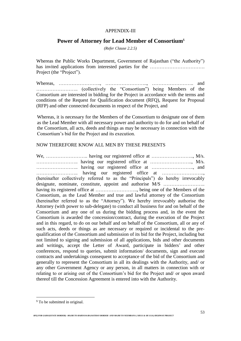## APPENDIX-III

# **Power of Attorney for Lead Member of Consortium**\$

*(Refer Clause 2.2.5)*

Whereas the Public Works Department, Government of Rajasthan ("the Authority") has invited applications from interested parties for the ……………………………………………………………… Project (the "Project").

Whereas, …………………….., …………………….., …………………….. and …………………….. (collectively the "Consortium") being Members of the Consortium are interested in bidding for the Project in accordance with the terms and conditions of the Request for Qualification document (RFQ), Request for Proposal (RFP) and other connected documents in respect of the Project, and

Whereas, it is necessary for the Members of the Consortium to designate one of them as the Lead Member with all necessary power and authority to do for and on behalf of the Consortium, all acts, deeds and things as may be necessary in connection with the Consortium's bid for the Project and its execution.

## NOW THEREFORE KNOW ALL MEN BY THESE PRESENTS

We, …………………….. having our registered office at …………………….., M/s. …………………….. having our registered office at …………………….., M/s. …………………….. having our registered office at …………………….., and …………………….. having our registered office at …………………….., (hereinafter collectively referred to as the "Principals") do hereby irrevocably designate, nominate, constitute, appoint and authorise M/S ...................... having its registered office at …………………….., being one of the Members of the Consortium, as the Lead Member and true and lawful attorney of the Consortium (hereinafter referred to as the "Attorney"). We hereby irrevocably authorise the Attorney (with power to sub-delegate) to conduct all business for and on behalf of the Consortium and any one of us during the bidding process and, in the event the Consortium is awarded the concession/contract, during the execution of the Project and in this regard, to do on our behalf and on behalf of the Consortium, all or any of such acts, deeds or things as are necessary or required or incidental to the prequalification of the Consortium and submission of its bid for the Project, including but not limited to signing and submission of all applications, bids and other documents and writings, accept the Letter of Award, participate in bidders' and other conferences, respond to queries, submit information/ documents, sign and execute contracts and undertakings consequent to acceptance of the bid of the Consortium and generally to represent the Consortium in all its dealings with the Authority, and/ or any other Government Agency or any person, in all matters in connection with or relating to or arising out of the Consortium's bid for the Project and/ or upon award thereof till the Concession Agreement is entered into with the Authority.

 $\overline{a}$ 

<sup>&</sup>lt;sup>\$</sup> To be submitted in original.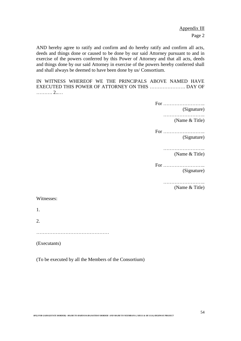Appendix III Page 2

AND hereby agree to ratify and confirm and do hereby ratify and confirm all acts, deeds and things done or caused to be done by our said Attorney pursuant to and in exercise of the powers conferred by this Power of Attorney and that all acts, deeds and things done by our said Attorney in exercise of the powers hereby conferred shall and shall always be deemed to have been done by us/ Consortium.

IN WITNESS WHEREOF WE THE PRINCIPALS ABOVE NAMED HAVE EXECUTED THIS POWER OF ATTORNEY ON THIS …………………. DAY OF ………. 2..…

For ……………………..

(Signature)

…………………….. (Name & Title)

For …………………….. (Signature)

> …………………………… (Name & Title)

For …………………….. (Signature)

……………………..

(Name & Title)

#### Witnesses:

1.

2.

………………………………………

(Executants)

(To be executed by all the Members of the Consortium)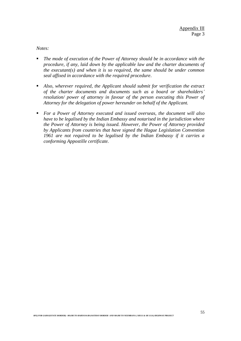*Notes:*

- *The mode of execution of the Power of Attorney should be in accordance with the procedure, if any, laid down by the applicable law and the charter documents of the executant(s) and when it is so required, the same should be under common seal affixed in accordance with the required procedure*.
- *Also, wherever required, the Applicant should submit for verification the extract of the charter documents and documents such as a board or shareholders' resolution/ power of attorney in favour of the person executing this Power of Attorney for the delegation of power hereunder on behalf of the Applicant.*
- *For a Power of Attorney executed and issued overseas, the document will also have to be legalised by the Indian Embassy and notarised in the jurisdiction where the Power of Attorney is being issued. However, the Power of Attorney provided by Applicants from countries that have signed the Hague Legislation Convention 1961 are not required to be legalised by the Indian Embassy if it carries a conforming Appostille certificate.*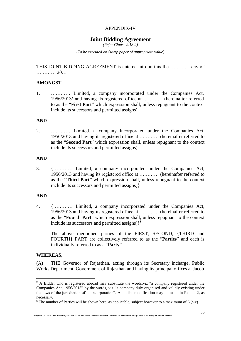## APPENDIX-IV

## **Joint Bidding Agreement**

*(Refer Clause 2.13.2)*

*(To be executed on Stamp paper of appropriate value)*

THIS JOINT BIDDING AGREEMENT is entered into on this the ………… day of ………… 20…

## **AMONGST**

1. ………… Limited, a company incorporated under the Companies Act, 1956/2013¥ and having its registered office at ………… (hereinafter referred to as the "**First Part**" which expression shall, unless repugnant to the context include its successors and permitted assigns)

## **AND**

2. ………… Limited, a company incorporated under the Companies Act, 1956/2013 and having its registered office at ………… (hereinafter referred to as the "**Second Part**" which expression shall, unless repugnant to the context include its successors and permitted assigns)

## **AND**

3. {………… Limited, a company incorporated under the Companies Act, 1956/2013 and having its registered office at ………… (hereinafter referred to as the "**Third Part**" which expression shall, unless repugnant to the context include its successors and permitted assigns)}

#### **AND**

4. {………… Limited, a company incorporated under the Companies Act, 1956/2013 and having its registered office at ………… (hereinafter referred to as the "**Fourth Part**" which expression shall, unless repugnant to the context include its successors and permitted assigns)} \$

The above mentioned parties of the FIRST, SECOND, {THIRD and FOURTH} PART are collectively referred to as the "**Parties**" and each is individually referred to as a "**Party**"

#### **WHEREAS**,

 $\overline{a}$ 

(A) THE Governor of Rajasthan, acting through its Secretary incharge, Public Works Department, Government of Rajasthan and having its principal offices at Jacob

 $*$  A Bidder who is registered abroad may substitute the words, viz "a company registered under the Companies Act, 1956/2013" by the words, viz "a company duly organised and validly existing under the laws of the jurisdiction of its incorporation". A similar modification may be made in Recital 2, as necessary.

<sup>\$</sup> The number of Parties will be shown here, as applicable, subject however to a maximum of 6 (six).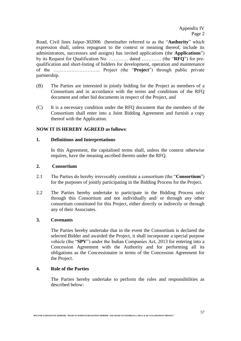Road, Civil lines Jaipur-302006 (hereinafter referred to as the "**Authority**" which expression shall, unless repugnant to the context or meaning thereof, include its administrators, successors and assigns) has invited applications (the **Applications**") by its Request for Qualification No. ………… dated ………… (the "**RFQ**") for prequalification and short-listing of bidders for development, operation and maintenance of the ……………………….. Project (the "**Project**") through public private partnership.

- (B) The Parties are interested in jointly bidding for the Project as members of a Consortium and in accordance with the terms and conditions of the RFQ document and other bid documents in respect of the Project, and
- (C) It is a necessary condition under the RFQ document that the members of the Consortium shall enter into a Joint Bidding Agreement and furnish a copy thereof with the Application.

## **NOW IT IS HEREBY AGREED as follows**:

#### **1. Definitions and Interpretations**

In this Agreement, the capitalised terms shall, unless the context otherwise requires, have the meaning ascribed thereto under the RFQ.

#### **2. Consortium**

- 2.1 The Parties do hereby irrevocably constitute a consortium (the "**Consortium**") for the purposes of jointly participating in the Bidding Process for the Project.
- 2.2 The Parties hereby undertake to participate in the Bidding Process only through this Consortium and not individually and/ or through any other consortium constituted for this Project, either directly or indirectly or through any of their Associates.

## **3. Covenants**

The Parties hereby undertake that in the event the Consortium is declared the selected Bidder and awarded the Project, it shall incorporate a special purpose vehicle (the "**SPV**") under the Indian Companies Act, 2013 for entering into a Concession Agreement with the Authority and for performing all its obligations as the Concessionaire in terms of the Concession Agreement for the Project.

## **4. Role of the Parties**

The Parties hereby undertake to perform the roles and responsibilities as described below: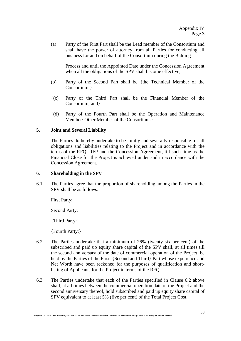(a) Party of the First Part shall be the Lead member of the Consortium and shall have the power of attorney from all Parties for conducting all business for and on behalf of the Consortium during the Bidding

Process and until the Appointed Date under the Concession Agreement when all the obligations of the SPV shall become effective;

- (b) Party of the Second Part shall be {the Technical Member of the Consortium;}
- {(c) Party of the Third Part shall be the Financial Member of the Consortium; and}
- {(d) Party of the Fourth Part shall be the Operation and Maintenance Member/ Other Member of the Consortium.}

## **5. Joint and Several Liability**

The Parties do hereby undertake to be jointly and severally responsible for all obligations and liabilities relating to the Project and in accordance with the terms of the RFQ, RFP and the Concession Agreement, till such time as the Financial Close for the Project is achieved under and in accordance with the Concession Agreement.

## **6**. **Shareholding in the SPV**

6.1 The Parties agree that the proportion of shareholding among the Parties in the SPV shall be as follows:

First Party:

Second Party:

{Third Party:}

{Fourth Party:}

- 6.2 The Parties undertake that a minimum of 26% (twenty six per cent) of the subscribed and paid up equity share capital of the SPV shall, at all times till the second anniversary of the date of commercial operation of the Project, be held by the Parties of the First, {Second and Third} Part whose experience and Net Worth have been reckoned for the purposes of qualification and shortlisting of Applicants for the Project in terms of the RFQ.
- 6.3 The Parties undertake that each of the Parties specified in Clause 6.2 above shall, at all times between the commercial operation date of the Project and the second anniversary thereof, hold subscribed and paid up equity share capital of SPV equivalent to at least 5% (five per cent) of the Total Project Cost.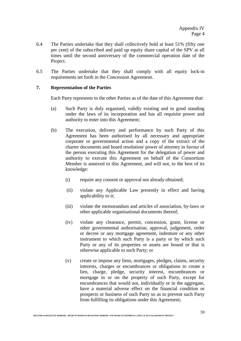- 6.4 The Parties undertake that they shall collectively hold at least 51% (fifty one per cent) of the subscribed and paid up equity share capital of the SPV at all times until the second anniversary of the commercial operation date of the Project.
- 6.5 The Parties undertake that they shall comply with all equity lock-in requirements set forth in the Concession Agreement.

## **7. Representation of the Parties**

Each Party represents to the other Parties as of the date of this Agreement that:

- (a) Such Party is duly organised, validly existing and in good standing under the laws of its incorporation and has all requisite power and authority to enter into this Agreement;
- (b) The execution, delivery and performance by such Party of this Agreement has been authorised by all necessary and appropriate corporate or governmental action and a copy of the extract of the charter documents and board resolution/ power of attorney in favour of the person executing this Agreement for the delegation of power and authority to execute this Agreement on behalf of the Consortium Member is annexed to this Agreement, and will not, to the best of its knowledge:
	- (i) require any consent or approval not already obtained;
	- (ii) violate any Applicable Law presently in effect and having applicability to it;
	- (iii) violate the memorandum and articles of association, by-laws or other applicable organisational documents thereof;
	- (iv) violate any clearance, permit, concession, grant, license or other governmental authorisation, approval, judgement, order or decree or any mortgage agreement, indenture or any other instrument to which such Party is a party or by which such Party or any of its properties or assets are bound or that is otherwise applicable to such Party; or
	- (v) create or impose any liens, mortgages, pledges, claims, security interests, charges or encumbrances or obligations to create a lien, charge, pledge, security interest, encumbrances or mortgage in or on the property of such Party, except for encumbrances that would not, individually or in the aggregate, have a material adverse effect on the financial condition or prospects or business of such Party so as to prevent such Party from fulfilling its obligations under this Agreement;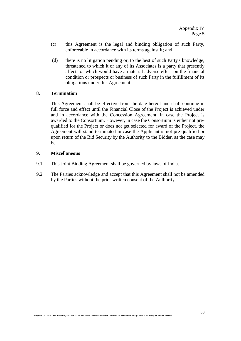- (c) this Agreement is the legal and binding obligation of such Party, enforceable in accordance with its terms against it; and
- (d) there is no litigation pending or, to the best of such Party's knowledge, threatened to which it or any of its Associates is a party that presently affects or which would have a material adverse effect on the financial condition or prospects or business of such Party in the fulfillment of its obligations under this Agreement.

## **8. Termination**

This Agreement shall be effective from the date hereof and shall continue in full force and effect until the Financial Close of the Project is achieved under and in accordance with the Concession Agreement, in case the Project is awarded to the Consortium. However, in case the Consortium is either not prequalified for the Project or does not get selected for award of the Project, the Agreement will stand terminated in case the Applicant is not pre-qualified or upon return of the Bid Security by the Authority to the Bidder, as the case may be.

## **9. Miscellaneous**

- 9.1 This Joint Bidding Agreement shall be governed by laws of India.
- 9.2 The Parties acknowledge and accept that this Agreement shall not be amended by the Parties without the prior written consent of the Authority.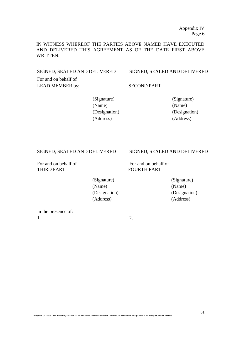IN WITNESS WHEREOF THE PARTIES ABOVE NAMED HAVE EXECUTED AND DELIVERED THIS AGREEMENT AS OF THE DATE FIRST ABOVE WRITTEN.

SIGNED, SEALED AND DELIVERED SIGNED, SEALED AND DELIVERED

For and on behalf of LEAD MEMBER by: SECOND PART

(Signature) (Signature) (Name) (Name) (Designation) (Designation) (Address) (Address)

THIRD PART FOURTH PART

#### SIGNED, SEALED AND DELIVERED SIGNED, SEALED AND DELIVERED

For and on behalf of For and on behalf of

(Signature) (Signature) (Name) (Name) (Designation) (Designation) (Address) (Address)

In the presence of:  $1.$  2.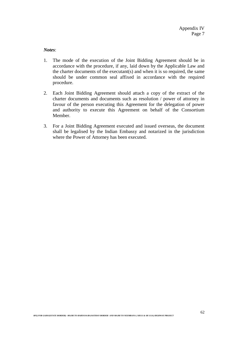*Notes*:

- 1. The mode of the execution of the Joint Bidding Agreement should be in accordance with the procedure, if any, laid down by the Applicable Law and the charter documents of the executant(s) and when it is so required, the same should be under common seal affixed in accordance with the required procedure.
- 2. Each Joint Bidding Agreement should attach a copy of the extract of the charter documents and documents such as resolution / power of attorney in favour of the person executing this Agreement for the delegation of power and authority to execute this Agreement on behalf of the Consortium Member.
- 3. For a Joint Bidding Agreement executed and issued overseas, the document shall be legalised by the Indian Embassy and notarized in the jurisdiction where the Power of Attorney has been executed.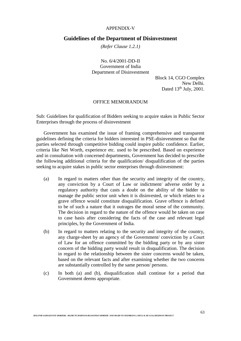#### APPENDIX-V

#### **Guidelines of the Department of Disinvestment**

*(Refer Clause 1.2.1)*

No. 6/4/2001-DD-II Government of India Department of Disinvestment

> Block 14, CGO Complex New Delhi. Dated  $13<sup>th</sup>$  July, 2001.

#### OFFICE MEMORANDUM

Sub: Guidelines for qualification of Bidders seeking to acquire stakes in Public Sector Enterprises through the process of disinvestment

Government has examined the issue of framing comprehensive and transparent guidelines defining the criteria for bidders interested in PSE-disinvestment so that the parties selected through competitive bidding could inspire public confidence. Earlier, criteria like Net Worth, experience etc. used to be prescribed. Based on experience and in consultation with concerned departments, Government has decided to prescribe the following additional criteria for the qualification/ disqualification of the parties seeking to acquire stakes in public sector enterprises through disinvestment:

- (a) In regard to matters other than the security and integrity of the country, any conviction by a Court of Law or indictment/ adverse order by a regulatory authority that casts a doubt on the ability of the bidder to manage the public sector unit when it is disinvested, or which relates to a grave offence would constitute disqualification. Grave offence is defined to be of such a nature that it outrages the moral sense of the community. The decision in regard to the nature of the offence would be taken on case to case basis after considering the facts of the case and relevant legal principles, by the Government of India.
- (b) In regard to matters relating to the security and integrity of the country, any charge-sheet by an agency of the Government/ conviction by a Court of Law for an offence committed by the bidding party or by any sister concern of the bidding party would result in disqualification. The decision in regard to the relationship between the sister concerns would be taken, based on the relevant facts and after examining whether the two concerns are substantially controlled by the same person/ persons.
- (c) In both (a) and (b), disqualification shall continue for a period that Government deems appropriate.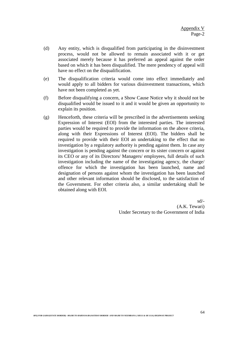- (d) Any entity, which is disqualified from participating in the disinvestment process, would not be allowed to remain associated with it or get associated merely because it has preferred an appeal against the order based on which it has been disqualified. The mere pendency of appeal will have no effect on the disqualification.
- (e) The disqualification criteria would come into effect immediately and would apply to all bidders for various disinvestment transactions, which have not been completed as yet.
- (f) Before disqualifying a concern, a Show Cause Notice why it should not be disqualified would be issued to it and it would be given an opportunity to explain its position.
- (g) Henceforth, these criteria will be prescribed in the advertisements seeking Expression of Interest (EOI) from the interested parties. The interested parties would be required to provide the information on the above criteria, along with their Expressions of Interest (EOI). The bidders shall be required to provide with their EOI an undertaking to the effect that no investigation by a regulatory authority is pending against them. In case any investigation is pending against the concern or its sister concern or against its CEO or any of its Directors/ Managers/ employees, full details of such investigation including the name of the investigating agency, the charge/ offence for which the investigation has been launched, name and designation of persons against whom the investigation has been launched and other relevant information should be disclosed, to the satisfaction of the Government. For other criteria also, a similar undertaking shall be obtained along with EOI.

sd/- (A.K. Tewari) Under Secretary to the Government of India